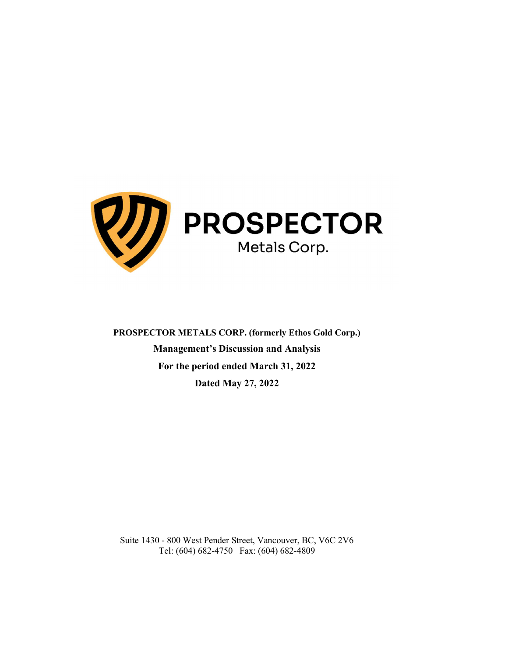

PROSPECTOR METALS CORP. (formerly Ethos Gold Corp.) Management's Discussion and Analysis For the period ended March 31, 2022 Dated May 27, 2022

Suite 1430 - 800 West Pender Street, Vancouver, BC, V6C 2V6 Tel: (604) 682-4750 Fax: (604) 682-4809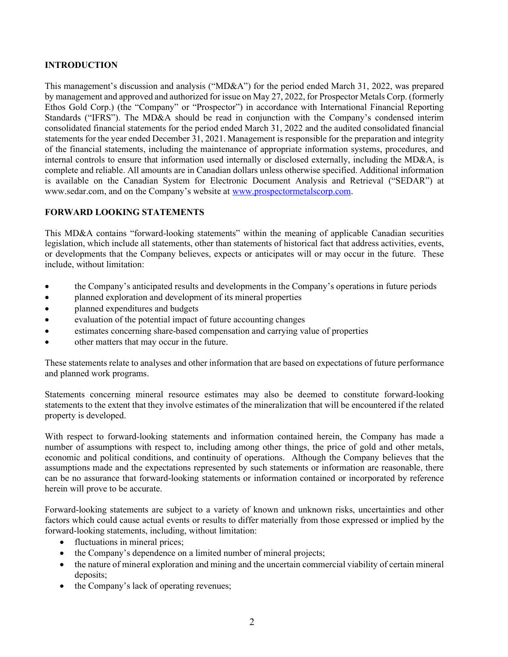## INTRODUCTION

This management's discussion and analysis ("MD&A") for the period ended March 31, 2022, was prepared by management and approved and authorized for issue on May 27, 2022, for Prospector Metals Corp. (formerly Ethos Gold Corp.) (the "Company" or "Prospector") in accordance with International Financial Reporting Standards ("IFRS"). The MD&A should be read in conjunction with the Company's condensed interim consolidated financial statements for the period ended March 31, 2022 and the audited consolidated financial statements for the year ended December 31, 2021. Management is responsible for the preparation and integrity of the financial statements, including the maintenance of appropriate information systems, procedures, and internal controls to ensure that information used internally or disclosed externally, including the MD&A, is complete and reliable. All amounts are in Canadian dollars unless otherwise specified. Additional information is available on the Canadian System for Electronic Document Analysis and Retrieval ("SEDAR") at www.sedar.com, and on the Company's website at www.prospectormetalscorp.com.

## FORWARD LOOKING STATEMENTS

This MD&A contains "forward-looking statements" within the meaning of applicable Canadian securities legislation, which include all statements, other than statements of historical fact that address activities, events, or developments that the Company believes, expects or anticipates will or may occur in the future. These include, without limitation:

- the Company's anticipated results and developments in the Company's operations in future periods
- planned exploration and development of its mineral properties
- **planned expenditures and budgets**
- evaluation of the potential impact of future accounting changes
- estimates concerning share-based compensation and carrying value of properties
- other matters that may occur in the future.

These statements relate to analyses and other information that are based on expectations of future performance and planned work programs.

Statements concerning mineral resource estimates may also be deemed to constitute forward-looking statements to the extent that they involve estimates of the mineralization that will be encountered if the related property is developed.

With respect to forward-looking statements and information contained herein, the Company has made a number of assumptions with respect to, including among other things, the price of gold and other metals, economic and political conditions, and continuity of operations. Although the Company believes that the assumptions made and the expectations represented by such statements or information are reasonable, there can be no assurance that forward-looking statements or information contained or incorporated by reference herein will prove to be accurate.

Forward-looking statements are subject to a variety of known and unknown risks, uncertainties and other factors which could cause actual events or results to differ materially from those expressed or implied by the forward-looking statements, including, without limitation:

- fluctuations in mineral prices;
- the Company's dependence on a limited number of mineral projects;
- the nature of mineral exploration and mining and the uncertain commercial viability of certain mineral deposits;
- the Company's lack of operating revenues;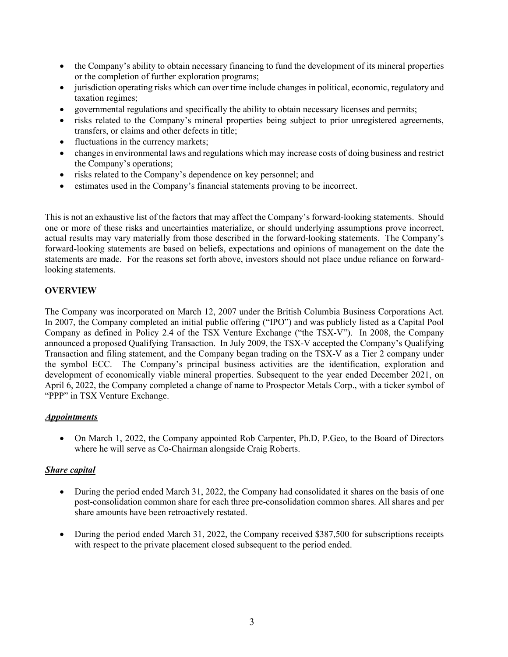- the Company's ability to obtain necessary financing to fund the development of its mineral properties or the completion of further exploration programs;
- jurisdiction operating risks which can over time include changes in political, economic, regulatory and taxation regimes;
- governmental regulations and specifically the ability to obtain necessary licenses and permits;
- risks related to the Company's mineral properties being subject to prior unregistered agreements, transfers, or claims and other defects in title;
- fluctuations in the currency markets;
- changes in environmental laws and regulations which may increase costs of doing business and restrict the Company's operations;
- risks related to the Company's dependence on key personnel; and
- estimates used in the Company's financial statements proving to be incorrect.

This is not an exhaustive list of the factors that may affect the Company's forward-looking statements. Should one or more of these risks and uncertainties materialize, or should underlying assumptions prove incorrect, actual results may vary materially from those described in the forward-looking statements. The Company's forward-looking statements are based on beliefs, expectations and opinions of management on the date the statements are made. For the reasons set forth above, investors should not place undue reliance on forwardlooking statements.

## **OVERVIEW**

The Company was incorporated on March 12, 2007 under the British Columbia Business Corporations Act. In 2007, the Company completed an initial public offering ("IPO") and was publicly listed as a Capital Pool Company as defined in Policy 2.4 of the TSX Venture Exchange ("the TSX-V"). In 2008, the Company announced a proposed Qualifying Transaction. In July 2009, the TSX-V accepted the Company's Qualifying Transaction and filing statement, and the Company began trading on the TSX-V as a Tier 2 company under the symbol ECC. The Company's principal business activities are the identification, exploration and development of economically viable mineral properties. Subsequent to the year ended December 2021, on April 6, 2022, the Company completed a change of name to Prospector Metals Corp., with a ticker symbol of "PPP" in TSX Venture Exchange.

## Appointments

 On March 1, 2022, the Company appointed Rob Carpenter, Ph.D, P.Geo, to the Board of Directors where he will serve as Co-Chairman alongside Craig Roberts.

# Share capital

- During the period ended March 31, 2022, the Company had consolidated it shares on the basis of one post-consolidation common share for each three pre-consolidation common shares. All shares and per share amounts have been retroactively restated.
- During the period ended March 31, 2022, the Company received \$387,500 for subscriptions receipts with respect to the private placement closed subsequent to the period ended.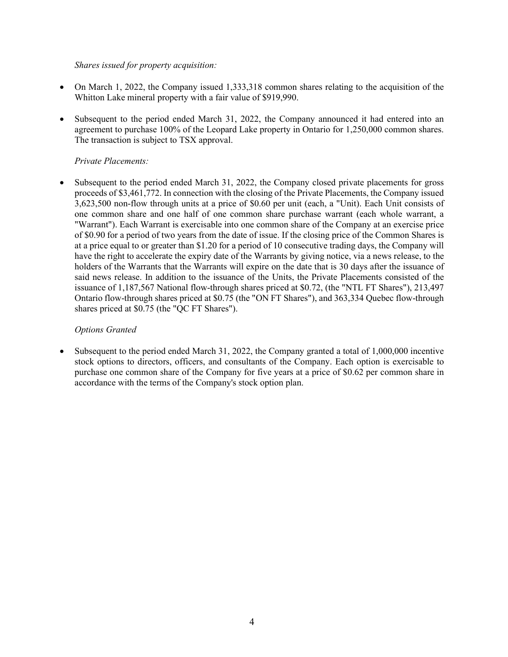## Shares issued for property acquisition:

- On March 1, 2022, the Company issued 1,333,318 common shares relating to the acquisition of the Whitton Lake mineral property with a fair value of \$919,990.
- Subsequent to the period ended March 31, 2022, the Company announced it had entered into an agreement to purchase 100% of the Leopard Lake property in Ontario for 1,250,000 common shares. The transaction is subject to TSX approval.

## Private Placements:

 Subsequent to the period ended March 31, 2022, the Company closed private placements for gross proceeds of \$3,461,772. In connection with the closing of the Private Placements, the Company issued 3,623,500 non-flow through units at a price of \$0.60 per unit (each, a "Unit). Each Unit consists of one common share and one half of one common share purchase warrant (each whole warrant, a "Warrant"). Each Warrant is exercisable into one common share of the Company at an exercise price of \$0.90 for a period of two years from the date of issue. If the closing price of the Common Shares is at a price equal to or greater than \$1.20 for a period of 10 consecutive trading days, the Company will have the right to accelerate the expiry date of the Warrants by giving notice, via a news release, to the holders of the Warrants that the Warrants will expire on the date that is 30 days after the issuance of said news release. In addition to the issuance of the Units, the Private Placements consisted of the issuance of 1,187,567 National flow-through shares priced at \$0.72, (the "NTL FT Shares"), 213,497 Ontario flow-through shares priced at \$0.75 (the "ON FT Shares"), and 363,334 Quebec flow-through shares priced at \$0.75 (the "QC FT Shares").

## Options Granted

 Subsequent to the period ended March 31, 2022, the Company granted a total of 1,000,000 incentive stock options to directors, officers, and consultants of the Company. Each option is exercisable to purchase one common share of the Company for five years at a price of \$0.62 per common share in accordance with the terms of the Company's stock option plan.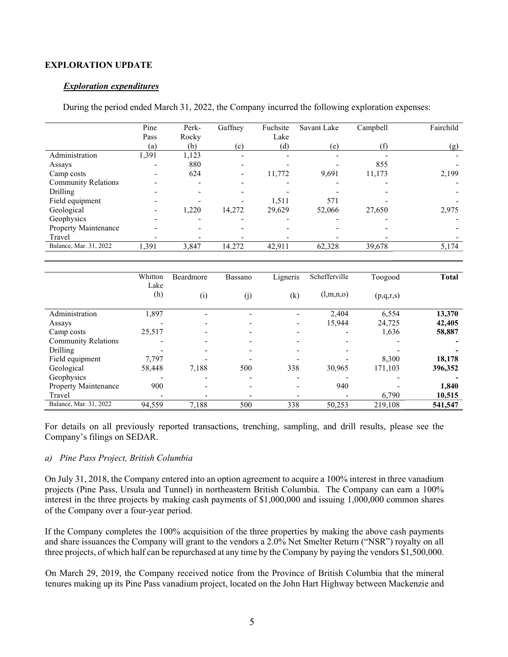#### EXPLORATION UPDATE

#### Exploration expenditures

During the period ended March 31, 2022, the Company incurred the following exploration expenses:

|                            | Pine  | Perk- | Gaffney                  | Fuchsite | Savant Lake | Campbell | Fairchild |
|----------------------------|-------|-------|--------------------------|----------|-------------|----------|-----------|
|                            | Pass  | Rocky |                          | Lake     |             |          |           |
|                            | (a)   | (b)   | (c)                      | (d)      | (e)         | (f)      | (g)       |
| Administration             | 1,391 | 1,123 |                          |          |             |          |           |
| Assays                     |       | 880   |                          |          |             | 855      |           |
| Camp costs                 |       | 624   | $\overline{\phantom{0}}$ | 11,772   | 9,691       | 11,173   | 2,199     |
| <b>Community Relations</b> |       |       |                          |          |             |          |           |
| Drilling                   |       |       |                          |          |             |          |           |
| Field equipment            |       |       |                          | 1,511    | 571         |          |           |
| Geological                 |       | 1,220 | 14,272                   | 29.629   | 52,066      | 27,650   | 2,975     |
| Geophysics                 |       |       |                          |          |             |          |           |
| Property Maintenance       |       |       |                          |          |             |          |           |
| Travel                     |       |       |                          |          |             |          |           |
| Balance, Mar. 31, 2022     | 1,391 | 3,847 | 14.272                   | 42,911   | 62,328      | 39,678   | 5,174     |

|                             | Whitton     | Beardmore | Bassano | Ligneris                 | Schefferville | Toogood   | <b>Total</b> |
|-----------------------------|-------------|-----------|---------|--------------------------|---------------|-----------|--------------|
|                             | Lake<br>(h) | (i)       | (j)     | (k)                      | (l,m,n,o)     | (p,q,r,s) |              |
| Administration              | 1,897       |           |         |                          | 2.404         | 6,554     | 13,370       |
| Assays                      |             |           |         | $\overline{\phantom{a}}$ | 15,944        | 24,725    | 42,405       |
| Camp costs                  | 25,517      |           |         |                          |               | 1,636     | 58,887       |
| <b>Community Relations</b>  |             |           |         | $\overline{\phantom{a}}$ |               |           |              |
| Drilling                    |             |           |         |                          |               |           |              |
| Field equipment             | 7.797       |           |         |                          |               | 8.300     | 18,178       |
| Geological                  | 58,448      | 7,188     | 500     | 338                      | 30,965        | 171,103   | 396,352      |
| Geophysics                  |             |           |         |                          |               |           |              |
| <b>Property Maintenance</b> | 900         |           |         |                          | 940           |           | 1,840        |
| Travel                      |             |           |         |                          |               | 6,790     | 10,515       |
| Balance, Mar. 31, 2022      | 94,559      | 7,188     | 500     | 338                      | 50,253        | 219,108   | 541,547      |

For details on all previously reported transactions, trenching, sampling, and drill results, please see the Company's filings on SEDAR.

#### a) Pine Pass Project, British Columbia

On July 31, 2018, the Company entered into an option agreement to acquire a 100% interest in three vanadium projects (Pine Pass, Ursula and Tunnel) in northeastern British Columbia. The Company can earn a 100% interest in the three projects by making cash payments of \$1,000,000 and issuing 1,000,000 common shares of the Company over a four-year period.

If the Company completes the 100% acquisition of the three properties by making the above cash payments and share issuances the Company will grant to the vendors a 2.0% Net Smelter Return ("NSR") royalty on all three projects, of which half can be repurchased at any time by the Company by paying the vendors \$1,500,000.

On March 29, 2019, the Company received notice from the Province of British Columbia that the mineral tenures making up its Pine Pass vanadium project, located on the John Hart Highway between Mackenzie and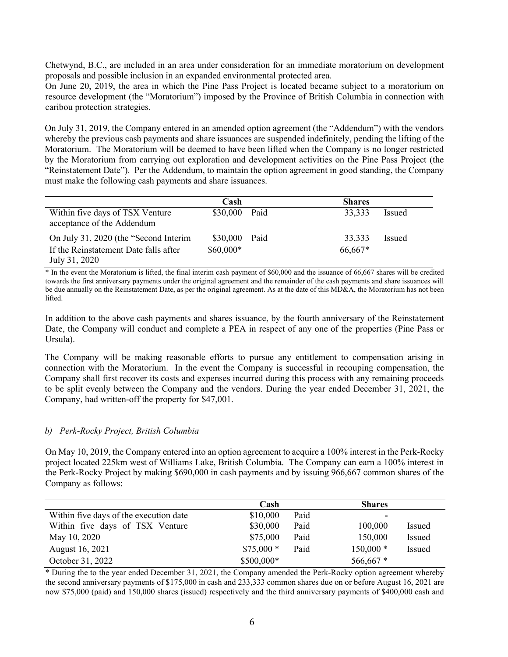Chetwynd, B.C., are included in an area under consideration for an immediate moratorium on development proposals and possible inclusion in an expanded environmental protected area.

On June 20, 2019, the area in which the Pine Pass Project is located became subject to a moratorium on resource development (the "Moratorium") imposed by the Province of British Columbia in connection with caribou protection strategies.

On July 31, 2019, the Company entered in an amended option agreement (the "Addendum") with the vendors whereby the previous cash payments and share issuances are suspended indefinitely, pending the lifting of the Moratorium. The Moratorium will be deemed to have been lifted when the Company is no longer restricted by the Moratorium from carrying out exploration and development activities on the Pine Pass Project (the "Reinstatement Date"). Per the Addendum, to maintain the option agreement in good standing, the Company must make the following cash payments and share issuances.

|                                                               | Cash          | <b>Shares</b> |               |
|---------------------------------------------------------------|---------------|---------------|---------------|
| Within five days of TSX Venture<br>acceptance of the Addendum | \$30,000 Paid | 33,333        | <b>Issued</b> |
| On July 31, 2020 (the "Second Interim"                        | \$30,000 Paid | 33,333        | Issued        |
| If the Reinstatement Date falls after                         | $$60,000*$    | 66,667*       |               |
| July 31, 2020                                                 |               |               |               |

\* In the event the Moratorium is lifted, the final interim cash payment of \$60,000 and the issuance of 66,667 shares will be credited towards the first anniversary payments under the original agreement and the remainder of the cash payments and share issuances will be due annually on the Reinstatement Date, as per the original agreement. As at the date of this MD&A, the Moratorium has not been lifted.

In addition to the above cash payments and shares issuance, by the fourth anniversary of the Reinstatement Date, the Company will conduct and complete a PEA in respect of any one of the properties (Pine Pass or Ursula).

The Company will be making reasonable efforts to pursue any entitlement to compensation arising in connection with the Moratorium. In the event the Company is successful in recouping compensation, the Company shall first recover its costs and expenses incurred during this process with any remaining proceeds to be split evenly between the Company and the vendors. During the year ended December 31, 2021, the Company, had written-off the property for \$47,001.

#### b) Perk-Rocky Project, British Columbia

On May 10, 2019, the Company entered into an option agreement to acquire a 100% interest in the Perk-Rocky project located 225km west of Williams Lake, British Columbia. The Company can earn a 100% interest in the Perk-Rocky Project by making \$690,000 in cash payments and by issuing 966,667 common shares of the Company as follows:

|                                        | Cash       |      | <b>Shares</b> |               |
|----------------------------------------|------------|------|---------------|---------------|
| Within five days of the execution date | \$10,000   | Paid | $\sim$        |               |
| Within five days of TSX Venture        | \$30,000   | Paid | 100,000       | <i>Issued</i> |
| May 10, 2020                           | \$75,000   | Paid | 150,000       | Issued        |
| August 16, 2021                        | $$75,000*$ | Paid | $150,000*$    | Issued        |
| October 31, 2022                       | \$500,000* |      | $566,667*$    |               |

\* During the to the year ended December 31, 2021, the Company amended the Perk-Rocky option agreement whereby the second anniversary payments of \$175,000 in cash and 233,333 common shares due on or before August 16, 2021 are now \$75,000 (paid) and 150,000 shares (issued) respectively and the third anniversary payments of \$400,000 cash and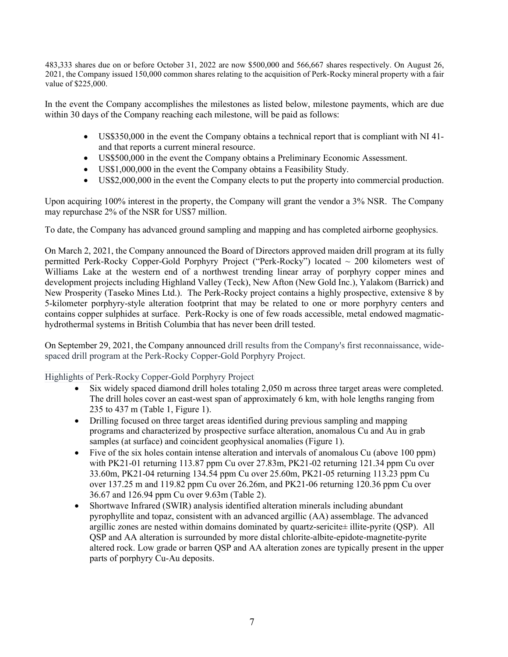483,333 shares due on or before October 31, 2022 are now \$500,000 and 566,667 shares respectively. On August 26, 2021, the Company issued 150,000 common shares relating to the acquisition of Perk-Rocky mineral property with a fair value of \$225,000.

In the event the Company accomplishes the milestones as listed below, milestone payments, which are due within 30 days of the Company reaching each milestone, will be paid as follows:

- US\$350,000 in the event the Company obtains a technical report that is compliant with NI 41 and that reports a current mineral resource.
- US\$500,000 in the event the Company obtains a Preliminary Economic Assessment.
- US\$1,000,000 in the event the Company obtains a Feasibility Study.
- US\$2,000,000 in the event the Company elects to put the property into commercial production.

Upon acquiring 100% interest in the property, the Company will grant the vendor a 3% NSR. The Company may repurchase 2% of the NSR for US\$7 million.

To date, the Company has advanced ground sampling and mapping and has completed airborne geophysics.

On March 2, 2021, the Company announced the Board of Directors approved maiden drill program at its fully permitted Perk-Rocky Copper-Gold Porphyry Project ("Perk-Rocky") located  $\sim$  200 kilometers west of Williams Lake at the western end of a northwest trending linear array of porphyry copper mines and development projects including Highland Valley (Teck), New Afton (New Gold Inc.), Yalakom (Barrick) and New Prosperity (Taseko Mines Ltd.). The Perk-Rocky project contains a highly prospective, extensive 8 by 5-kilometer porphyry-style alteration footprint that may be related to one or more porphyry centers and contains copper sulphides at surface. Perk-Rocky is one of few roads accessible, metal endowed magmatichydrothermal systems in British Columbia that has never been drill tested.

On September 29, 2021, the Company announced drill results from the Company's first reconnaissance, widespaced drill program at the Perk-Rocky Copper-Gold Porphyry Project.

## Highlights of Perk-Rocky Copper-Gold Porphyry Project

- Six widely spaced diamond drill holes totaling 2,050 m across three target areas were completed. The drill holes cover an east-west span of approximately 6 km, with hole lengths ranging from 235 to 437 m (Table 1, Figure 1).
- Drilling focused on three target areas identified during previous sampling and mapping programs and characterized by prospective surface alteration, anomalous Cu and Au in grab samples (at surface) and coincident geophysical anomalies (Figure 1).
- Five of the six holes contain intense alteration and intervals of anomalous Cu (above 100 ppm) with PK21-01 returning 113.87 ppm Cu over 27.83m, PK21-02 returning 121.34 ppm Cu over 33.60m, PK21-04 returning 134.54 ppm Cu over 25.60m, PK21-05 returning 113.23 ppm Cu over 137.25 m and 119.82 ppm Cu over 26.26m, and PK21-06 returning 120.36 ppm Cu over 36.67 and 126.94 ppm Cu over 9.63m (Table 2).
- Shortwave Infrared (SWIR) analysis identified alteration minerals including abundant pyrophyllite and topaz, consistent with an advanced argillic (AA) assemblage. The advanced argillic zones are nested within domains dominated by quartz-sericite± illite-pyrite (QSP). All QSP and AA alteration is surrounded by more distal chlorite-albite-epidote-magnetite-pyrite altered rock. Low grade or barren QSP and AA alteration zones are typically present in the upper parts of porphyry Cu-Au deposits.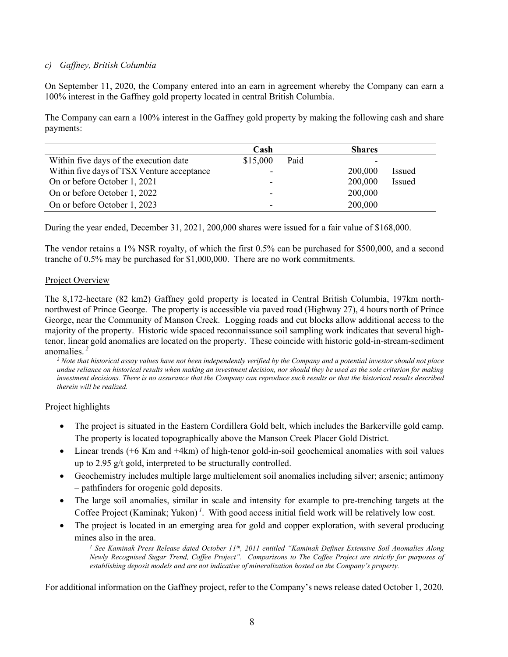## c) Gaffney, British Columbia

On September 11, 2020, the Company entered into an earn in agreement whereby the Company can earn a 100% interest in the Gaffney gold property located in central British Columbia.

The Company can earn a 100% interest in the Gaffney gold property by making the following cash and share payments:

|                                            | Cash     |      | <b>Shares</b> |        |
|--------------------------------------------|----------|------|---------------|--------|
| Within five days of the execution date     | \$15,000 | Paid |               |        |
| Within five days of TSX Venture acceptance |          |      | 200,000       | Issued |
| On or before October 1, 2021               |          |      | 200,000       | Issued |
| On or before October 1, 2022               |          |      | 200,000       |        |
| On or before October 1, 2023               |          |      | 200,000       |        |

During the year ended, December 31, 2021, 200,000 shares were issued for a fair value of \$168,000.

The vendor retains a 1% NSR royalty, of which the first 0.5% can be purchased for \$500,000, and a second tranche of 0.5% may be purchased for \$1,000,000. There are no work commitments.

#### Project Overview

The 8,172-hectare (82 km2) Gaffney gold property is located in Central British Columbia, 197km northnorthwest of Prince George. The property is accessible via paved road (Highway 27), 4 hours north of Prince George, near the Community of Manson Creek. Logging roads and cut blocks allow additional access to the majority of the property. Historic wide spaced reconnaissance soil sampling work indicates that several hightenor, linear gold anomalies are located on the property. These coincide with historic gold-in-stream-sediment anomalies.<sup>2</sup>

 $2$  Note that historical assay values have not been independently verified by the Company and a potential investor should not place undue reliance on historical results when making an investment decision, nor should they be used as the sole criterion for making investment decisions. There is no assurance that the Company can reproduce such results or that the historical results described therein will be realized.

#### Project highlights

- The project is situated in the Eastern Cordillera Gold belt, which includes the Barkerville gold camp. The property is located topographically above the Manson Creek Placer Gold District.
- Linear trends (+6 Km and +4km) of high-tenor gold-in-soil geochemical anomalies with soil values up to 2.95 g/t gold, interpreted to be structurally controlled.
- Geochemistry includes multiple large multielement soil anomalies including silver; arsenic; antimony – pathfinders for orogenic gold deposits.
- The large soil anomalies, similar in scale and intensity for example to pre-trenching targets at the Coffee Project (Kaminak; Yukon)<sup> $1$ </sup>. With good access initial field work will be relatively low cost.
- The project is located in an emerging area for gold and copper exploration, with several producing mines also in the area.

<sup>1</sup> See Kaminak Press Release dated October 11<sup>th</sup>, 2011 entitled "Kaminak Defines Extensive Soil Anomalies Along Newly Recognised Sugar Trend, Coffee Project". Comparisons to The Coffee Project are strictly for purposes of establishing deposit models and are not indicative of mineralization hosted on the Company's property.

For additional information on the Gaffney project, refer to the Company's news release dated October 1, 2020.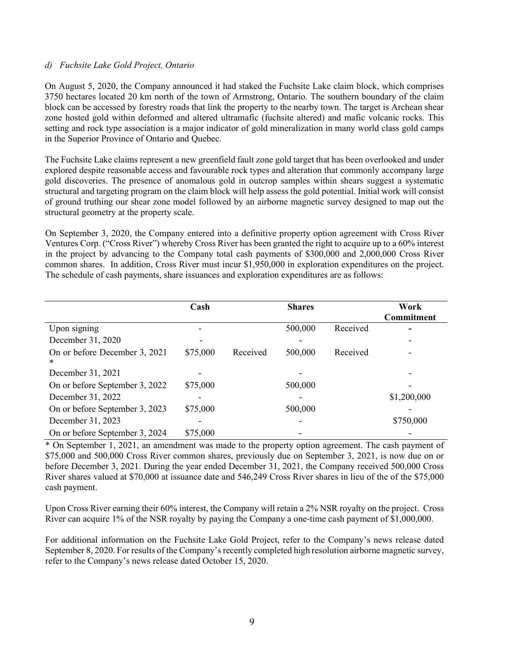#### d) Fuchsite Lake Gold Project, Ontario

On August 5, 2020, the Company announced it had staked the Fuchsite Lake claim block, which comprises 3750 hectares located 20 km north of the town of Armstrong, Ontario. The southern boundary of the claim block can be accessed by forestry roads that link the property to the nearby town. The target is Archean shear zone hosted gold within deformed and altered ultramafic (fuchsite altered) and mafic volcanic rocks. This setting and rock type association is a major indicator of gold mineralization in many world class gold camps in the Superior Province of Ontario and Quebec.

The Fuchsite Lake claims represent a new greenfield fault zone gold target that has been overlooked and under explored despite reasonable access and favourable rock types and alteration that commonly accompany large gold discoveries. The presence of anomalous gold in outcrop samples within shears suggest a systematic structural and targeting program on the claim block will help assess the gold potential. Initial work will consist of ground truthing our shear zone model followed by an airborne magnetic survey designed to map out the structural geometry at the property scale.

On September 3, 2020, the Company entered into a definitive property option agreement with Cross River Ventures Corp. ("Cross River") whereby Cross River has been granted the right to acquire up to a 60% interest in the project by advancing to the Company total cash payments of \$300,000 and 2,000,000 Cross River common shares. In addition, Cross River must incur \$1,950,000 in exploration expenditures on the project. The schedule of cash payments, share issuances and exploration expenditures are as follows:

|                                    | Cash     |          | <b>Shares</b> |          | Work              |
|------------------------------------|----------|----------|---------------|----------|-------------------|
|                                    |          |          |               |          | <b>Commitment</b> |
| Upon signing                       |          |          | 500,000       | Received |                   |
| December 31, 2020                  |          |          |               |          |                   |
| On or before December 3, 2021<br>* | \$75,000 | Received | 500,000       | Received |                   |
| December 31, 2021                  |          |          |               |          |                   |
| On or before September 3, 2022     | \$75,000 |          | 500,000       |          |                   |
| December 31, 2022                  |          |          |               |          | \$1,200,000       |
| On or before September 3, 2023     | \$75,000 |          | 500,000       |          |                   |
| December 31, 2023                  |          |          |               |          | \$750,000         |
| On or before September 3, 2024     | \$75,000 |          |               |          |                   |

\* On September 1, 2021, an amendment was made to the property option agreement. The cash payment of \$75,000 and 500,000 Cross River common shares, previously due on September 3, 2021, is now due on or before December 3, 2021. During the year ended December 31, 2021, the Company received 500,000 Cross River shares valued at \$70,000 at issuance date and 546,249 Cross River shares in lieu of the of the \$75,000 cash payment.

Upon Cross River earning their 60% interest, the Company will retain a 2% NSR royalty on the project. Cross River can acquire 1% of the NSR royalty by paying the Company a one-time cash payment of \$1,000,000.

For additional information on the Fuchsite Lake Gold Project, refer to the Company's news release dated September 8, 2020. For results of the Company's recently completed high resolution airborne magnetic survey, refer to the Company's news release dated October 15, 2020.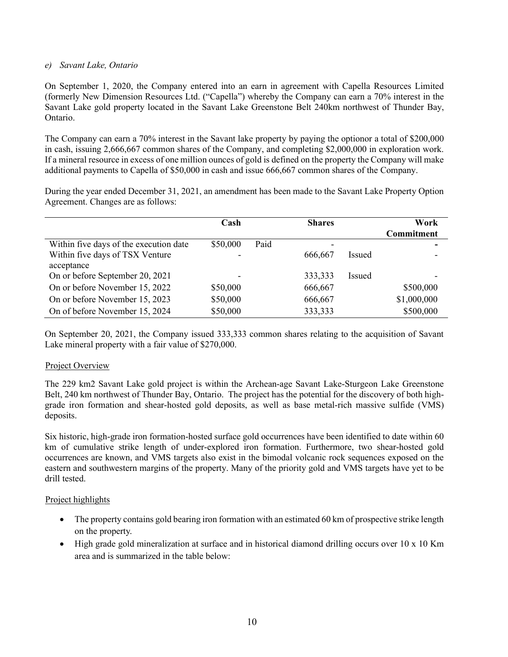## e) Savant Lake, Ontario

On September 1, 2020, the Company entered into an earn in agreement with Capella Resources Limited (formerly New Dimension Resources Ltd. ("Capella") whereby the Company can earn a 70% interest in the Savant Lake gold property located in the Savant Lake Greenstone Belt 240km northwest of Thunder Bay, Ontario.

The Company can earn a 70% interest in the Savant lake property by paying the optionor a total of \$200,000 in cash, issuing 2,666,667 common shares of the Company, and completing \$2,000,000 in exploration work. If a mineral resource in excess of one million ounces of gold is defined on the property the Company will make additional payments to Capella of \$50,000 in cash and issue 666,667 common shares of the Company.

During the year ended December 31, 2021, an amendment has been made to the Savant Lake Property Option Agreement. Changes are as follows:

|                                        | Cash     |      | <b>Shares</b> |               | Work<br>Commitment |
|----------------------------------------|----------|------|---------------|---------------|--------------------|
| Within five days of the execution date | \$50,000 | Paid | -             |               | ۰                  |
| Within five days of TSX Venture        |          |      | 666,667       | Issued        |                    |
| acceptance                             |          |      |               |               |                    |
| On or before September 20, 2021        |          |      | 333,333       | <b>Issued</b> |                    |
| On or before November 15, 2022         | \$50,000 |      | 666,667       |               | \$500,000          |
| On or before November 15, 2023         | \$50,000 |      | 666,667       |               | \$1,000,000        |
| On of before November 15, 2024         | \$50,000 |      | 333,333       |               | \$500,000          |

On September 20, 2021, the Company issued 333,333 common shares relating to the acquisition of Savant Lake mineral property with a fair value of \$270,000.

## Project Overview

The 229 km2 Savant Lake gold project is within the Archean-age Savant Lake-Sturgeon Lake Greenstone Belt, 240 km northwest of Thunder Bay, Ontario. The project has the potential for the discovery of both highgrade iron formation and shear-hosted gold deposits, as well as base metal-rich massive sulfide (VMS) deposits.

Six historic, high-grade iron formation-hosted surface gold occurrences have been identified to date within 60 km of cumulative strike length of under-explored iron formation. Furthermore, two shear-hosted gold occurrences are known, and VMS targets also exist in the bimodal volcanic rock sequences exposed on the eastern and southwestern margins of the property. Many of the priority gold and VMS targets have yet to be drill tested.

# Project highlights

- The property contains gold bearing iron formation with an estimated 60 km of prospective strike length on the property.
- High grade gold mineralization at surface and in historical diamond drilling occurs over 10 x 10 Km area and is summarized in the table below: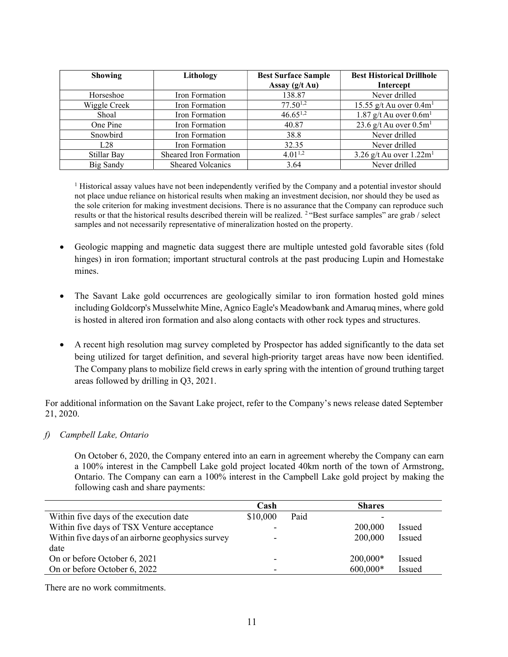| <b>Showing</b>   | Lithology                | <b>Best Surface Sample</b><br>Assay (g/t Au) | <b>Best Historical Drillhole</b><br>Intercept |
|------------------|--------------------------|----------------------------------------------|-----------------------------------------------|
| Horseshoe        | Iron Formation           | 138.87                                       | Never drilled                                 |
| Wiggle Creek     | Iron Formation           | $77.50^{1,2}$                                | 15.55 g/t Au over $0.4m1$                     |
| Shoal            | Iron Formation           | $46.65^{1,2}$                                | 1.87 g/t Au over $0.6m1$                      |
| One Pine         | Iron Formation           | 40.87                                        | 23.6 g/t Au over $0.5m1$                      |
| Snowbird         | Iron Formation           | 38.8                                         | Never drilled                                 |
| L28              | Iron Formation           | 32.35                                        | Never drilled                                 |
| Stillar Bay      | Sheared Iron Formation   | $4.01^{1,2}$                                 | 3.26 g/t Au over $1.22 \text{m}^1$            |
| <b>Big Sandy</b> | <b>Sheared Volcanics</b> | 3.64                                         | Never drilled                                 |

<sup>1</sup> Historical assay values have not been independently verified by the Company and a potential investor should not place undue reliance on historical results when making an investment decision, nor should they be used as the sole criterion for making investment decisions. There is no assurance that the Company can reproduce such results or that the historical results described therein will be realized. <sup>2</sup>"Best surface samples" are grab / select samples and not necessarily representative of mineralization hosted on the property.

- Geologic mapping and magnetic data suggest there are multiple untested gold favorable sites (fold hinges) in iron formation; important structural controls at the past producing Lupin and Homestake mines.
- The Savant Lake gold occurrences are geologically similar to iron formation hosted gold mines including Goldcorp's Musselwhite Mine, Agnico Eagle's Meadowbank and Amaruq mines, where gold is hosted in altered iron formation and also along contacts with other rock types and structures.
- A recent high resolution mag survey completed by Prospector has added significantly to the data set being utilized for target definition, and several high-priority target areas have now been identified. The Company plans to mobilize field crews in early spring with the intention of ground truthing target areas followed by drilling in Q3, 2021.

For additional information on the Savant Lake project, refer to the Company's news release dated September 21, 2020.

# f) Campbell Lake, Ontario

On October 6, 2020, the Company entered into an earn in agreement whereby the Company can earn a 100% interest in the Campbell Lake gold project located 40km north of the town of Armstrong, Ontario. The Company can earn a 100% interest in the Campbell Lake gold project by making the following cash and share payments:

| Cash     |      | <b>Shares</b> |               |
|----------|------|---------------|---------------|
| \$10,000 | Paid |               |               |
|          |      | 200,000       | Issued        |
|          |      | 200,000       | Issued        |
|          |      |               |               |
| -        |      | $200,000*$    | <b>Issued</b> |
|          |      | $600,000*$    | Issued        |
|          |      |               |               |

There are no work commitments.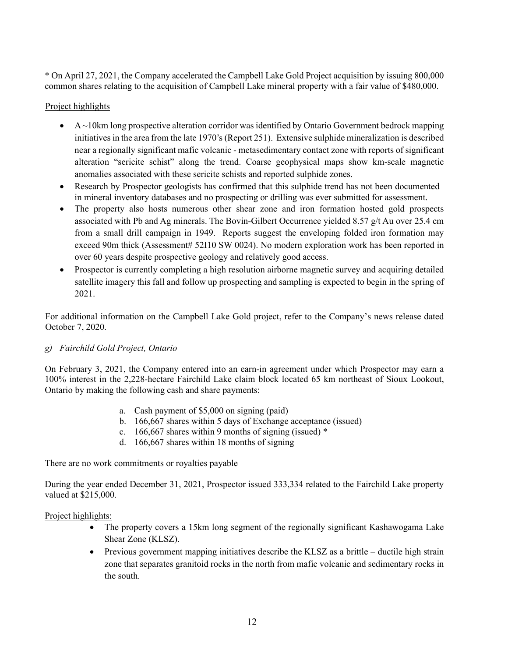\* On April 27, 2021, the Company accelerated the Campbell Lake Gold Project acquisition by issuing 800,000 common shares relating to the acquisition of Campbell Lake mineral property with a fair value of \$480,000.

## Project highlights

- $\blacklozenge$  A ~10km long prospective alteration corridor was identified by Ontario Government bedrock mapping initiatives in the area from the late 1970's (Report 251). Extensive sulphide mineralization is described near a regionally significant mafic volcanic - metasedimentary contact zone with reports of significant alteration "sericite schist" along the trend. Coarse geophysical maps show km-scale magnetic anomalies associated with these sericite schists and reported sulphide zones.
- Research by Prospector geologists has confirmed that this sulphide trend has not been documented in mineral inventory databases and no prospecting or drilling was ever submitted for assessment.
- The property also hosts numerous other shear zone and iron formation hosted gold prospects associated with Pb and Ag minerals. The Bovin-Gilbert Occurrence yielded 8.57  $g/t$  Au over 25.4 cm from a small drill campaign in 1949. Reports suggest the enveloping folded iron formation may exceed 90m thick (Assessment# 52I10 SW 0024). No modern exploration work has been reported in over 60 years despite prospective geology and relatively good access.
- Prospector is currently completing a high resolution airborne magnetic survey and acquiring detailed satellite imagery this fall and follow up prospecting and sampling is expected to begin in the spring of 2021.

For additional information on the Campbell Lake Gold project, refer to the Company's news release dated October 7, 2020.

## g) Fairchild Gold Project, Ontario

On February 3, 2021, the Company entered into an earn-in agreement under which Prospector may earn a 100% interest in the 2,228-hectare Fairchild Lake claim block located 65 km northeast of Sioux Lookout, Ontario by making the following cash and share payments:

- a. Cash payment of \$5,000 on signing (paid)
- b. 166,667 shares within 5 days of Exchange acceptance (issued)
- c. 166,667 shares within 9 months of signing (issued) \*
- d. 166,667 shares within 18 months of signing

There are no work commitments or royalties payable

During the year ended December 31, 2021, Prospector issued 333,334 related to the Fairchild Lake property valued at \$215,000.

## Project highlights:

- The property covers a 15km long segment of the regionally significant Kashawogama Lake Shear Zone (KLSZ).
- Previous government mapping initiatives describe the KLSZ as a brittle ductile high strain zone that separates granitoid rocks in the north from mafic volcanic and sedimentary rocks in the south.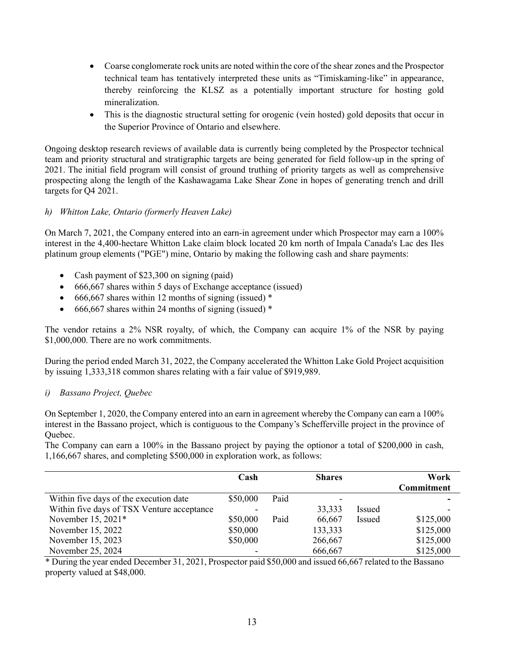- Coarse conglomerate rock units are noted within the core of the shear zones and the Prospector technical team has tentatively interpreted these units as "Timiskaming-like" in appearance, thereby reinforcing the KLSZ as a potentially important structure for hosting gold mineralization.
- This is the diagnostic structural setting for orogenic (vein hosted) gold deposits that occur in the Superior Province of Ontario and elsewhere.

Ongoing desktop research reviews of available data is currently being completed by the Prospector technical team and priority structural and stratigraphic targets are being generated for field follow-up in the spring of 2021. The initial field program will consist of ground truthing of priority targets as well as comprehensive prospecting along the length of the Kashawagama Lake Shear Zone in hopes of generating trench and drill targets for Q4 2021.

# h) Whitton Lake, Ontario (formerly Heaven Lake)

On March 7, 2021, the Company entered into an earn-in agreement under which Prospector may earn a 100% interest in the 4,400-hectare Whitton Lake claim block located 20 km north of Impala Canada's Lac des Iles platinum group elements ("PGE") mine, Ontario by making the following cash and share payments:

- Cash payment of \$23,300 on signing (paid)
- 666,667 shares within 5 days of Exchange acceptance (issued)
- $\bullet$  666,667 shares within 12 months of signing (issued) \*
- $\bullet$  666,667 shares within 24 months of signing (issued) \*

The vendor retains a 2% NSR royalty, of which, the Company can acquire 1% of the NSR by paying \$1,000,000. There are no work commitments.

During the period ended March 31, 2022, the Company accelerated the Whitton Lake Gold Project acquisition by issuing 1,333,318 common shares relating with a fair value of \$919,989.

## i) Bassano Project, Quebec

On September 1, 2020, the Company entered into an earn in agreement whereby the Company can earn a 100% interest in the Bassano project, which is contiguous to the Company's Schefferville project in the province of Quebec.

The Company can earn a 100% in the Bassano project by paying the optionor a total of \$200,000 in cash, 1,166,667 shares, and completing \$500,000 in exploration work, as follows:

|                                            | Cash     |      | <b>Shares</b> |        | Work<br><b>Commitment</b> |
|--------------------------------------------|----------|------|---------------|--------|---------------------------|
| Within five days of the execution date     | \$50,000 | Paid |               |        |                           |
| Within five days of TSX Venture acceptance |          |      | 33,333        | Issued |                           |
| November 15, 2021*                         | \$50,000 | Paid | 66,667        | Issued | \$125,000                 |
| November 15, 2022                          | \$50,000 |      | 133,333       |        | \$125,000                 |
| November 15, 2023                          | \$50,000 |      | 266,667       |        | \$125,000                 |
| November 25, 2024                          | ۰        |      | 666,667       |        | \$125,000                 |

\* During the year ended December 31, 2021, Prospector paid \$50,000 and issued 66,667 related to the Bassano property valued at \$48,000.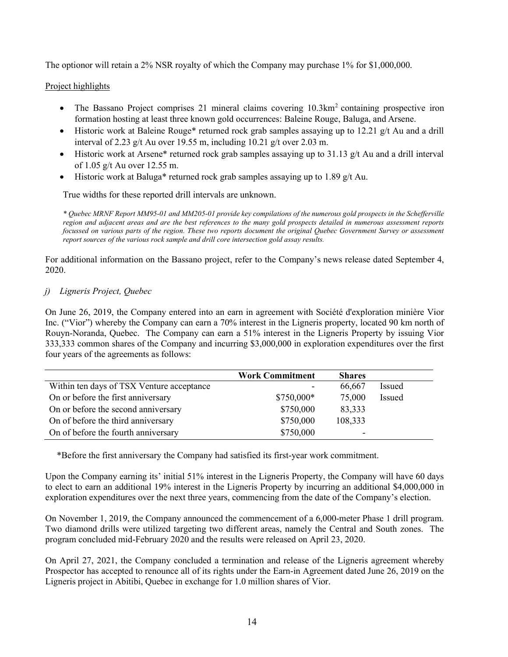The optionor will retain a 2% NSR royalty of which the Company may purchase 1% for \$1,000,000.

## Project highlights

- The Bassano Project comprises 21 mineral claims covering  $10.3 \text{km}^2$  containing prospective iron formation hosting at least three known gold occurrences: Baleine Rouge, Baluga, and Arsene.
- $\bullet$  Historic work at Baleine Rouge\* returned rock grab samples assaying up to 12.21 g/t Au and a drill interval of 2.23 g/t Au over 19.55 m, including 10.21 g/t over 2.03 m.
- $\bullet$  Historic work at Arsene\* returned rock grab samples assaying up to 31.13 g/t Au and a drill interval of 1.05 g/t Au over 12.55 m.
- Historic work at Baluga\* returned rock grab samples assaying up to 1.89  $g/t$  Au.

True widths for these reported drill intervals are unknown.

\* Quebec MRNF Report MM95-01 and MM205-01 provide key compilations of the numerous gold prospects in the Schefferville region and adjacent areas and are the best references to the many gold prospects detailed in numerous assessment reports focussed on various parts of the region. These two reports document the original Quebec Government Survey or assessment report sources of the various rock sample and drill core intersection gold assay results.

For additional information on the Bassano project, refer to the Company's news release dated September 4, 2020.

## j) Ligneris Project, Quebec

On June 26, 2019, the Company entered into an earn in agreement with Société d'exploration minière Vior Inc. ("Vior") whereby the Company can earn a 70% interest in the Ligneris property, located 90 km north of Rouyn-Noranda, Quebec. The Company can earn a 51% interest in the Ligneris Property by issuing Vior 333,333 common shares of the Company and incurring \$3,000,000 in exploration expenditures over the first four years of the agreements as follows:

|                                           | <b>Work Commitment</b> | <b>Shares</b> |        |
|-------------------------------------------|------------------------|---------------|--------|
| Within ten days of TSX Venture acceptance | $\sim$                 | 66,667        | Issued |
| On or before the first anniversary        | \$750,000*             | 75,000        | Issued |
| On or before the second anniversary       | \$750,000              | 83,333        |        |
| On of before the third anniversary        | \$750,000              | 108,333       |        |
| On of before the fourth anniversary       | \$750,000              | -             |        |

\*Before the first anniversary the Company had satisfied its first-year work commitment.

Upon the Company earning its' initial 51% interest in the Ligneris Property, the Company will have 60 days to elect to earn an additional 19% interest in the Ligneris Property by incurring an additional \$4,000,000 in exploration expenditures over the next three years, commencing from the date of the Company's election.

On November 1, 2019, the Company announced the commencement of a 6,000-meter Phase 1 drill program. Two diamond drills were utilized targeting two different areas, namely the Central and South zones. The program concluded mid-February 2020 and the results were released on April 23, 2020.

On April 27, 2021, the Company concluded a termination and release of the Ligneris agreement whereby Prospector has accepted to renounce all of its rights under the Earn-in Agreement dated June 26, 2019 on the Ligneris project in Abitibi, Quebec in exchange for 1.0 million shares of Vior.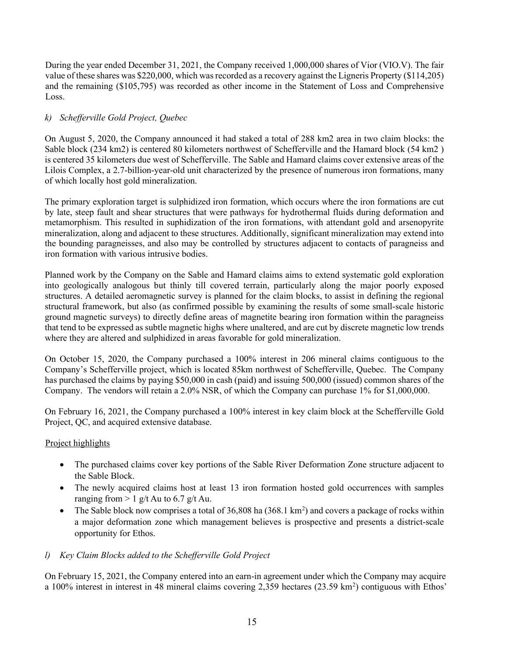During the year ended December 31, 2021, the Company received 1,000,000 shares of Vior (VIO.V). The fair value of these shares was \$220,000, which was recorded as a recovery against the Ligneris Property (\$114,205) and the remaining (\$105,795) was recorded as other income in the Statement of Loss and Comprehensive Loss.

# k) Schefferville Gold Project, Quebec

On August 5, 2020, the Company announced it had staked a total of 288 km2 area in two claim blocks: the Sable block (234 km2) is centered 80 kilometers northwest of Schefferville and the Hamard block (54 km2 ) is centered 35 kilometers due west of Schefferville. The Sable and Hamard claims cover extensive areas of the Lilois Complex, a 2.7-billion-year-old unit characterized by the presence of numerous iron formations, many of which locally host gold mineralization.

The primary exploration target is sulphidized iron formation, which occurs where the iron formations are cut by late, steep fault and shear structures that were pathways for hydrothermal fluids during deformation and metamorphism. This resulted in suphidization of the iron formations, with attendant gold and arsenopyrite mineralization, along and adjacent to these structures. Additionally, significant mineralization may extend into the bounding paragneisses, and also may be controlled by structures adjacent to contacts of paragneiss and iron formation with various intrusive bodies.

Planned work by the Company on the Sable and Hamard claims aims to extend systematic gold exploration into geologically analogous but thinly till covered terrain, particularly along the major poorly exposed structures. A detailed aeromagnetic survey is planned for the claim blocks, to assist in defining the regional structural framework, but also (as confirmed possible by examining the results of some small-scale historic ground magnetic surveys) to directly define areas of magnetite bearing iron formation within the paragneiss that tend to be expressed as subtle magnetic highs where unaltered, and are cut by discrete magnetic low trends where they are altered and sulphidized in areas favorable for gold mineralization.

On October 15, 2020, the Company purchased a 100% interest in 206 mineral claims contiguous to the Company's Schefferville project, which is located 85km northwest of Schefferville, Quebec. The Company has purchased the claims by paying \$50,000 in cash (paid) and issuing 500,000 (issued) common shares of the Company. The vendors will retain a 2.0% NSR, of which the Company can purchase 1% for \$1,000,000.

On February 16, 2021, the Company purchased a 100% interest in key claim block at the Schefferville Gold Project, QC, and acquired extensive database.

## Project highlights

- The purchased claims cover key portions of the Sable River Deformation Zone structure adjacent to the Sable Block.
- The newly acquired claims host at least 13 iron formation hosted gold occurrences with samples ranging from  $> 1$  g/t Au to 6.7 g/t Au.
- The Sable block now comprises a total of 36,808 ha (368.1 km<sup>2</sup>) and covers a package of rocks within a major deformation zone which management believes is prospective and presents a district-scale opportunity for Ethos.

## l) Key Claim Blocks added to the Schefferville Gold Project

On February 15, 2021, the Company entered into an earn-in agreement under which the Company may acquire a 100% interest in interest in 48 mineral claims covering 2,359 hectares (23.59 km<sup>2</sup>) contiguous with Ethos'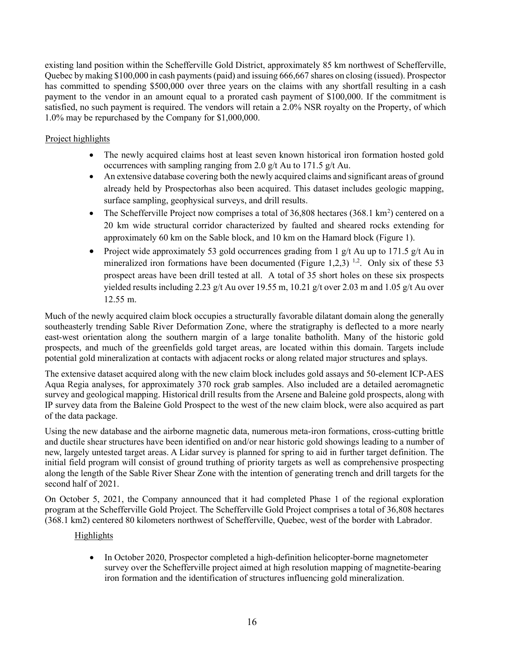existing land position within the Schefferville Gold District, approximately 85 km northwest of Schefferville, Quebec by making \$100,000 in cash payments (paid) and issuing 666,667 shares on closing (issued). Prospector has committed to spending \$500,000 over three years on the claims with any shortfall resulting in a cash payment to the vendor in an amount equal to a prorated cash payment of \$100,000. If the commitment is satisfied, no such payment is required. The vendors will retain a 2.0% NSR royalty on the Property, of which 1.0% may be repurchased by the Company for \$1,000,000.

# Project highlights

- The newly acquired claims host at least seven known historical iron formation hosted gold occurrences with sampling ranging from 2.0 g/t Au to 171.5 g/t Au.
- An extensive database covering both the newly acquired claims and significant areas of ground already held by Prospectorhas also been acquired. This dataset includes geologic mapping, surface sampling, geophysical surveys, and drill results.
- The Schefferville Project now comprises a total of  $36,808$  hectares  $(368.1 \text{ km}^2)$  centered on a 20 km wide structural corridor characterized by faulted and sheared rocks extending for approximately 60 km on the Sable block, and 10 km on the Hamard block (Figure 1).
- Project wide approximately 53 gold occurrences grading from 1 g/t Au up to 171.5 g/t Au in mineralized iron formations have been documented (Figure 1,2,3) <sup>1,2</sup>. Only six of these 53 prospect areas have been drill tested at all. A total of 35 short holes on these six prospects yielded results including 2.23 g/t Au over 19.55 m, 10.21 g/t over 2.03 m and 1.05 g/t Au over 12.55 m.

Much of the newly acquired claim block occupies a structurally favorable dilatant domain along the generally southeasterly trending Sable River Deformation Zone, where the stratigraphy is deflected to a more nearly east-west orientation along the southern margin of a large tonalite batholith. Many of the historic gold prospects, and much of the greenfields gold target areas, are located within this domain. Targets include potential gold mineralization at contacts with adjacent rocks or along related major structures and splays.

The extensive dataset acquired along with the new claim block includes gold assays and 50-element ICP-AES Aqua Regia analyses, for approximately 370 rock grab samples. Also included are a detailed aeromagnetic survey and geological mapping. Historical drill results from the Arsene and Baleine gold prospects, along with IP survey data from the Baleine Gold Prospect to the west of the new claim block, were also acquired as part of the data package.

Using the new database and the airborne magnetic data, numerous meta-iron formations, cross-cutting brittle and ductile shear structures have been identified on and/or near historic gold showings leading to a number of new, largely untested target areas. A Lidar survey is planned for spring to aid in further target definition. The initial field program will consist of ground truthing of priority targets as well as comprehensive prospecting along the length of the Sable River Shear Zone with the intention of generating trench and drill targets for the second half of 2021.

On October 5, 2021, the Company announced that it had completed Phase 1 of the regional exploration program at the Schefferville Gold Project. The Schefferville Gold Project comprises a total of 36,808 hectares (368.1 km2) centered 80 kilometers northwest of Schefferville, Quebec, west of the border with Labrador.

# Highlights

• In October 2020, Prospector completed a high-definition helicopter-borne magnetometer survey over the Schefferville project aimed at high resolution mapping of magnetite-bearing iron formation and the identification of structures influencing gold mineralization.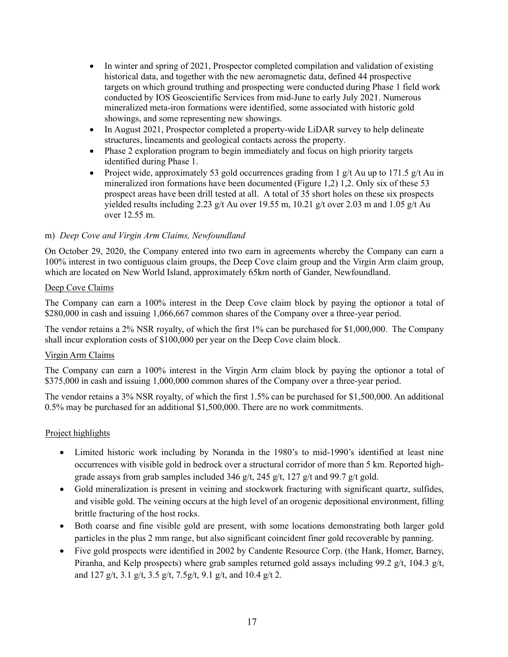- In winter and spring of 2021, Prospector completed compilation and validation of existing historical data, and together with the new aeromagnetic data, defined 44 prospective targets on which ground truthing and prospecting were conducted during Phase 1 field work conducted by IOS Geoscientific Services from mid-June to early July 2021. Numerous mineralized meta-iron formations were identified, some associated with historic gold showings, and some representing new showings.
- In August 2021, Prospector completed a property-wide LiDAR survey to help delineate structures, lineaments and geological contacts across the property.
- Phase 2 exploration program to begin immediately and focus on high priority targets identified during Phase 1.
- Project wide, approximately 53 gold occurrences grading from 1 g/t Au up to 171.5 g/t Au in mineralized iron formations have been documented (Figure 1,2) 1,2. Only six of these 53 prospect areas have been drill tested at all. A total of 35 short holes on these six prospects yielded results including 2.23 g/t Au over 19.55 m, 10.21 g/t over 2.03 m and 1.05 g/t Au over 12.55 m.

## m) Deep Cove and Virgin Arm Claims, Newfoundland

On October 29, 2020, the Company entered into two earn in agreements whereby the Company can earn a 100% interest in two contiguous claim groups, the Deep Cove claim group and the Virgin Arm claim group, which are located on New World Island, approximately 65km north of Gander, Newfoundland.

## Deep Cove Claims

The Company can earn a 100% interest in the Deep Cove claim block by paying the optionor a total of \$280,000 in cash and issuing 1,066,667 common shares of the Company over a three-year period.

The vendor retains a 2% NSR royalty, of which the first 1% can be purchased for \$1,000,000. The Company shall incur exploration costs of \$100,000 per year on the Deep Cove claim block.

## Virgin Arm Claims

The Company can earn a 100% interest in the Virgin Arm claim block by paying the optionor a total of \$375,000 in cash and issuing 1,000,000 common shares of the Company over a three-year period.

The vendor retains a 3% NSR royalty, of which the first 1.5% can be purchased for \$1,500,000. An additional 0.5% may be purchased for an additional \$1,500,000. There are no work commitments.

# Project highlights

- Limited historic work including by Noranda in the 1980's to mid-1990's identified at least nine occurrences with visible gold in bedrock over a structural corridor of more than 5 km. Reported highgrade assays from grab samples included 346 g/t, 245 g/t, 127 g/t and 99.7 g/t gold.
- Gold mineralization is present in veining and stockwork fracturing with significant quartz, sulfides, and visible gold. The veining occurs at the high level of an orogenic depositional environment, filling brittle fracturing of the host rocks.
- Both coarse and fine visible gold are present, with some locations demonstrating both larger gold particles in the plus 2 mm range, but also significant coincident finer gold recoverable by panning.
- Five gold prospects were identified in 2002 by Candente Resource Corp. (the Hank, Homer, Barney, Piranha, and Kelp prospects) where grab samples returned gold assays including 99.2 g/t, 104.3 g/t, and 127 g/t, 3.1 g/t, 3.5 g/t, 7.5g/t, 9.1 g/t, and 10.4 g/t 2.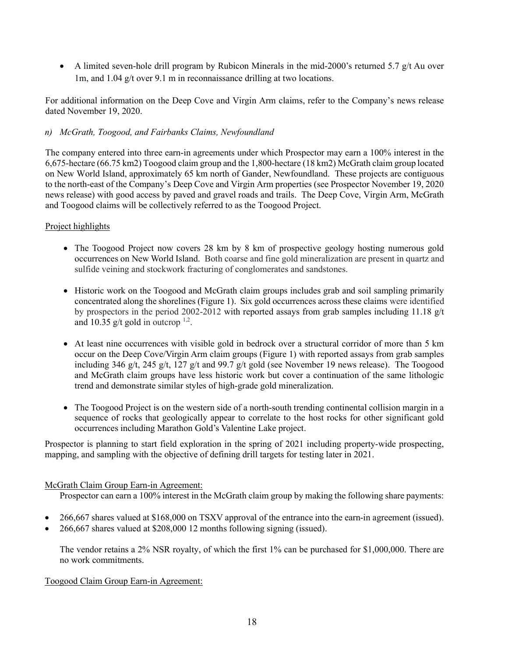A limited seven-hole drill program by Rubicon Minerals in the mid-2000's returned 5.7 g/t Au over 1m, and 1.04 g/t over 9.1 m in reconnaissance drilling at two locations.

For additional information on the Deep Cove and Virgin Arm claims, refer to the Company's news release dated November 19, 2020.

## n) McGrath, Toogood, and Fairbanks Claims, Newfoundland

The company entered into three earn-in agreements under which Prospector may earn a 100% interest in the 6,675-hectare (66.75 km2) Toogood claim group and the 1,800-hectare (18 km2) McGrath claim group located on New World Island, approximately 65 km north of Gander, Newfoundland. These projects are contiguous to the north-east of the Company's Deep Cove and Virgin Arm properties (see Prospector November 19, 2020 news release) with good access by paved and gravel roads and trails. The Deep Cove, Virgin Arm, McGrath and Toogood claims will be collectively referred to as the Toogood Project.

## Project highlights

- The Toogood Project now covers 28 km by 8 km of prospective geology hosting numerous gold occurrences on New World Island. Both coarse and fine gold mineralization are present in quartz and sulfide veining and stockwork fracturing of conglomerates and sandstones.
- Historic work on the Toogood and McGrath claim groups includes grab and soil sampling primarily concentrated along the shorelines (Figure 1). Six gold occurrences across these claims were identified by prospectors in the period 2002-2012 with reported assays from grab samples including 11.18 g/t and 10.35  $g/t$  gold in outcrop  $1,2$ .
- At least nine occurrences with visible gold in bedrock over a structural corridor of more than 5 km occur on the Deep Cove/Virgin Arm claim groups (Figure 1) with reported assays from grab samples including 346 g/t, 245 g/t, 127 g/t and 99.7 g/t gold (see November 19 news release). The Toogood and McGrath claim groups have less historic work but cover a continuation of the same lithologic trend and demonstrate similar styles of high-grade gold mineralization.
- The Toogood Project is on the western side of a north-south trending continental collision margin in a sequence of rocks that geologically appear to correlate to the host rocks for other significant gold occurrences including Marathon Gold's Valentine Lake project.

Prospector is planning to start field exploration in the spring of 2021 including property-wide prospecting, mapping, and sampling with the objective of defining drill targets for testing later in 2021.

## McGrath Claim Group Earn-in Agreement:

Prospector can earn a 100% interest in the McGrath claim group by making the following share payments:

- 266,667 shares valued at \$168,000 on TSXV approval of the entrance into the earn-in agreement (issued).
- 266,667 shares valued at \$208,000 12 months following signing (issued).

The vendor retains a 2% NSR royalty, of which the first 1% can be purchased for \$1,000,000. There are no work commitments.

## Toogood Claim Group Earn-in Agreement: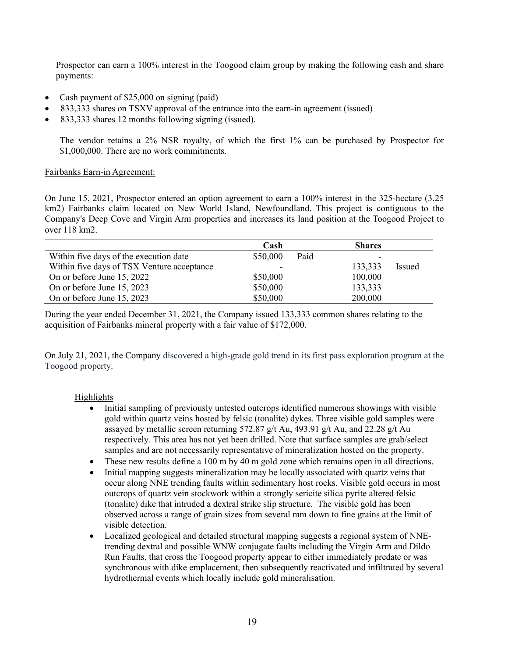Prospector can earn a 100% interest in the Toogood claim group by making the following cash and share payments:

- Cash payment of \$25,000 on signing (paid)
- 833,333 shares on TSXV approval of the entrance into the earn-in agreement (issued)
- 833,333 shares 12 months following signing (issued).

The vendor retains a 2% NSR royalty, of which the first 1% can be purchased by Prospector for \$1,000,000. There are no work commitments.

## Fairbanks Earn-in Agreement:

On June 15, 2021, Prospector entered an option agreement to earn a 100% interest in the 325-hectare (3.25 km2) Fairbanks claim located on New World Island, Newfoundland. This project is contiguous to the Company's Deep Cove and Virgin Arm properties and increases its land position at the Toogood Project to over 118 km2.

|                                            | Cash     |      | <b>Shares</b>            |        |
|--------------------------------------------|----------|------|--------------------------|--------|
| Within five days of the execution date     | \$50,000 | Paid | $\overline{\phantom{0}}$ |        |
| Within five days of TSX Venture acceptance |          |      | 133,333                  | Issued |
| On or before June 15, 2022                 | \$50,000 |      | 100,000                  |        |
| On or before June 15, 2023                 | \$50,000 |      | 133,333                  |        |
| On or before June 15, 2023                 | \$50,000 |      | 200,000                  |        |

During the year ended December 31, 2021, the Company issued 133,333 common shares relating to the acquisition of Fairbanks mineral property with a fair value of \$172,000.

On July 21, 2021, the Company discovered a high-grade gold trend in its first pass exploration program at the Toogood property.

# **Highlights**

- Initial sampling of previously untested outcrops identified numerous showings with visible gold within quartz veins hosted by felsic (tonalite) dykes. Three visible gold samples were assayed by metallic screen returning 572.87 g/t Au, 493.91 g/t Au, and 22.28 g/t Au respectively. This area has not yet been drilled. Note that surface samples are grab/select samples and are not necessarily representative of mineralization hosted on the property.
- These new results define a 100 m by 40 m gold zone which remains open in all directions.
- Initial mapping suggests mineralization may be locally associated with quartz veins that occur along NNE trending faults within sedimentary host rocks. Visible gold occurs in most outcrops of quartz vein stockwork within a strongly sericite silica pyrite altered felsic (tonalite) dike that intruded a dextral strike slip structure. The visible gold has been observed across a range of grain sizes from several mm down to fine grains at the limit of visible detection.
- Localized geological and detailed structural mapping suggests a regional system of NNEtrending dextral and possible WNW conjugate faults including the Virgin Arm and Dildo Run Faults, that cross the Toogood property appear to either immediately predate or was synchronous with dike emplacement, then subsequently reactivated and infiltrated by several hydrothermal events which locally include gold mineralisation.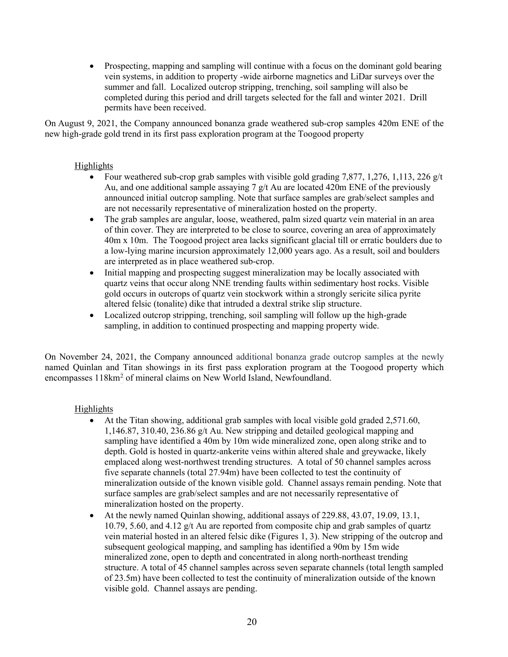• Prospecting, mapping and sampling will continue with a focus on the dominant gold bearing vein systems, in addition to property -wide airborne magnetics and LiDar surveys over the summer and fall. Localized outcrop stripping, trenching, soil sampling will also be completed during this period and drill targets selected for the fall and winter 2021. Drill permits have been received.

On August 9, 2021, the Company announced bonanza grade weathered sub-crop samples 420m ENE of the new high-grade gold trend in its first pass exploration program at the Toogood property

## Highlights

- Four weathered sub-crop grab samples with visible gold grading 7,877, 1,276, 1,113, 226  $g/t$ Au, and one additional sample assaying 7 g/t Au are located 420m ENE of the previously announced initial outcrop sampling. Note that surface samples are grab/select samples and are not necessarily representative of mineralization hosted on the property.
- The grab samples are angular, loose, weathered, palm sized quartz vein material in an area of thin cover. They are interpreted to be close to source, covering an area of approximately 40m x 10m. The Toogood project area lacks significant glacial till or erratic boulders due to a low-lying marine incursion approximately 12,000 years ago. As a result, soil and boulders are interpreted as in place weathered sub-crop.
- Initial mapping and prospecting suggest mineralization may be locally associated with quartz veins that occur along NNE trending faults within sedimentary host rocks. Visible gold occurs in outcrops of quartz vein stockwork within a strongly sericite silica pyrite altered felsic (tonalite) dike that intruded a dextral strike slip structure.
- Localized outcrop stripping, trenching, soil sampling will follow up the high-grade sampling, in addition to continued prospecting and mapping property wide.

On November 24, 2021, the Company announced additional bonanza grade outcrop samples at the newly named Quinlan and Titan showings in its first pass exploration program at the Toogood property which encompasses 118km<sup>2</sup> of mineral claims on New World Island, Newfoundland.

# Highlights

- At the Titan showing, additional grab samples with local visible gold graded 2,571.60, 1,146.87, 310.40, 236.86 g/t Au. New stripping and detailed geological mapping and sampling have identified a 40m by 10m wide mineralized zone, open along strike and to depth. Gold is hosted in quartz-ankerite veins within altered shale and greywacke, likely emplaced along west-northwest trending structures. A total of 50 channel samples across five separate channels (total 27.94m) have been collected to test the continuity of mineralization outside of the known visible gold. Channel assays remain pending. Note that surface samples are grab/select samples and are not necessarily representative of mineralization hosted on the property.
- At the newly named Quinlan showing, additional assays of 229.88, 43.07, 19.09, 13.1, 10.79, 5.60, and 4.12  $g/t$  Au are reported from composite chip and grab samples of quartz vein material hosted in an altered felsic dike (Figures 1, 3). New stripping of the outcrop and subsequent geological mapping, and sampling has identified a 90m by 15m wide mineralized zone, open to depth and concentrated in along north-northeast trending structure. A total of 45 channel samples across seven separate channels (total length sampled of 23.5m) have been collected to test the continuity of mineralization outside of the known visible gold. Channel assays are pending.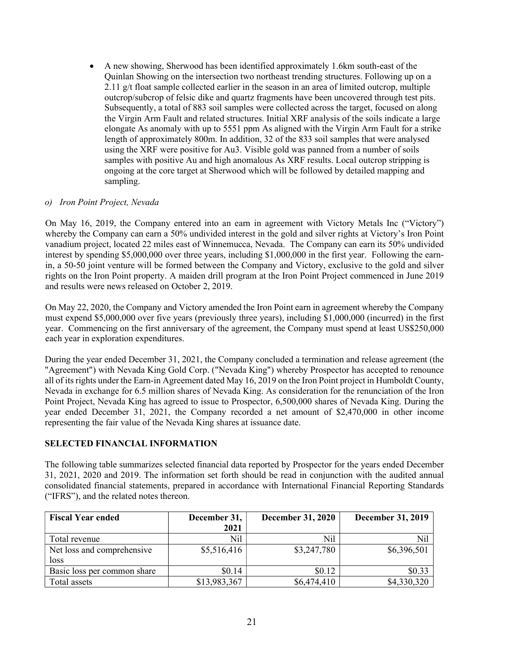A new showing, Sherwood has been identified approximately 1.6km south-east of the Quinlan Showing on the intersection two northeast trending structures. Following up on a 2.11 g/t float sample collected earlier in the season in an area of limited outcrop, multiple outcrop/subcrop of felsic dike and quartz fragments have been uncovered through test pits. Subsequently, a total of 883 soil samples were collected across the target, focused on along the Virgin Arm Fault and related structures. Initial XRF analysis of the soils indicate a large elongate As anomaly with up to 5551 ppm As aligned with the Virgin Arm Fault for a strike length of approximately 800m. In addition, 32 of the 833 soil samples that were analysed using the XRF were positive for Au3. Visible gold was panned from a number of soils samples with positive Au and high anomalous As XRF results. Local outcrop stripping is ongoing at the core target at Sherwood which will be followed by detailed mapping and sampling.

## o) Iron Point Project, Nevada

On May 16, 2019, the Company entered into an earn in agreement with Victory Metals Inc ("Victory") whereby the Company can earn a 50% undivided interest in the gold and silver rights at Victory's Iron Point vanadium project, located 22 miles east of Winnemucca, Nevada. The Company can earn its 50% undivided interest by spending \$5,000,000 over three years, including \$1,000,000 in the first year. Following the earnin, a 50-50 joint venture will be formed between the Company and Victory, exclusive to the gold and silver rights on the Iron Point property. A maiden drill program at the Iron Point Project commenced in June 2019 and results were news released on October 2, 2019.

On May 22, 2020, the Company and Victory amended the Iron Point earn in agreement whereby the Company must expend \$5,000,000 over five years (previously three years), including \$1,000,000 (incurred) in the first year. Commencing on the first anniversary of the agreement, the Company must spend at least US\$250,000 each year in exploration expenditures.

During the year ended December 31, 2021, the Company concluded a termination and release agreement (the "Agreement") with Nevada King Gold Corp. ("Nevada King") whereby Prospector has accepted to renounce all of its rights under the Earn-in Agreement dated May 16, 2019 on the Iron Point project in Humboldt County, Nevada in exchange for 6.5 million shares of Nevada King. As consideration for the renunciation of the Iron Point Project, Nevada King has agreed to issue to Prospector, 6,500,000 shares of Nevada King. During the year ended December 31, 2021, the Company recorded a net amount of \$2,470,000 in other income representing the fair value of the Nevada King shares at issuance date.

# SELECTED FINANCIAL INFORMATION

The following table summarizes selected financial data reported by Prospector for the years ended December 31, 2021, 2020 and 2019. The information set forth should be read in conjunction with the audited annual consolidated financial statements, prepared in accordance with International Financial Reporting Standards ("IFRS"), and the related notes thereon.

| <b>Fiscal Year ended</b>    | December 31, | <b>December 31, 2020</b> | <b>December 31, 2019</b> |
|-----------------------------|--------------|--------------------------|--------------------------|
|                             | 2021         |                          |                          |
| Total revenue               | Nil          | Nil                      | Nil                      |
| Net loss and comprehensive  | \$5,516,416  | \$3,247,780              | \$6,396,501              |
| loss                        |              |                          |                          |
| Basic loss per common share | \$0.14       | \$0.12                   | \$0.33                   |
| Total assets                | \$13,983,367 | \$6,474,410              | \$4,330,320              |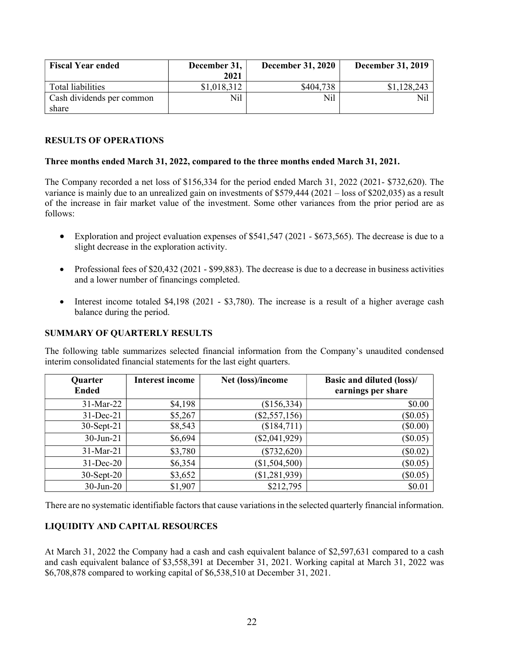| <b>Fiscal Year ended</b>  | December 31,<br>2021 | <b>December 31, 2020</b> | <b>December 31, 2019</b> |
|---------------------------|----------------------|--------------------------|--------------------------|
|                           |                      |                          |                          |
| Total liabilities         | \$1,018,312          | \$404,738                | \$1,128,243              |
| Cash dividends per common | Nil                  | Nil                      | Nil                      |
| share                     |                      |                          |                          |

## RESULTS OF OPERATIONS

#### Three months ended March 31, 2022, compared to the three months ended March 31, 2021.

The Company recorded a net loss of \$156,334 for the period ended March 31, 2022 (2021- \$732,620). The variance is mainly due to an unrealized gain on investments of \$579,444 (2021 – loss of \$202,035) as a result of the increase in fair market value of the investment. Some other variances from the prior period are as follows:

- Exploration and project evaluation expenses of \$541,547 (2021 \$673,565). The decrease is due to a slight decrease in the exploration activity.
- Professional fees of \$20,432 (2021 \$99,883). The decrease is due to a decrease in business activities and a lower number of financings completed.
- Interest income totaled  $$4,198$  (2021 \$3,780). The increase is a result of a higher average cash balance during the period.

## SUMMARY OF QUARTERLY RESULTS

The following table summarizes selected financial information from the Company's unaudited condensed interim consolidated financial statements for the last eight quarters.

| Quarter         | <b>Interest income</b> | Net (loss)/income | Basic and diluted (loss)/ |
|-----------------|------------------------|-------------------|---------------------------|
| <b>Ended</b>    |                        |                   | earnings per share        |
| 31-Mar-22       | \$4,198                | (\$156,334)       | \$0.00                    |
| $31$ -Dec-21    | \$5,267                | (\$2,557,156)     | $(\$0.05)$                |
| $30$ -Sept-21   | \$8,543                | (\$184,711)       | $(\$0.00)$                |
| $30 - Jun - 21$ | \$6,694                | $(\$2,041,929)$   | (\$0.05)                  |
| 31-Mar-21       | \$3,780                | $(\$732,620)$     | $(\$0.02)$                |
| $31$ -Dec-20    | \$6,354                | (\$1,504,500)     | $(\$0.05)$                |
| $30$ -Sept-20   | \$3,652                | (\$1,281,939)     | $(\$0.05)$                |
| $30$ -Jun-20    | \$1,907                | \$212,795         | \$0.01                    |

There are no systematic identifiable factors that cause variations in the selected quarterly financial information.

## LIQUIDITY AND CAPITAL RESOURCES

At March 31, 2022 the Company had a cash and cash equivalent balance of \$2,597,631 compared to a cash and cash equivalent balance of \$3,558,391 at December 31, 2021. Working capital at March 31, 2022 was \$6,708,878 compared to working capital of \$6,538,510 at December 31, 2021.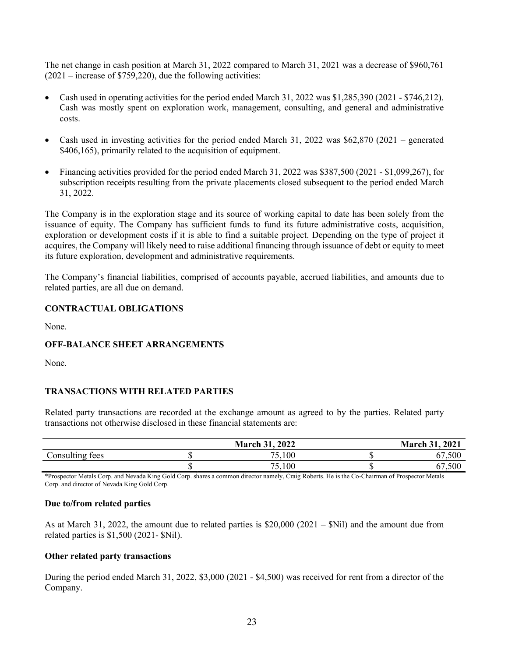The net change in cash position at March 31, 2022 compared to March 31, 2021 was a decrease of \$960,761  $(2021 - \text{increase of } $759,220)$ , due the following activities:

- Cash used in operating activities for the period ended March 31, 2022 was \$1,285,390 (2021 \$746,212). Cash was mostly spent on exploration work, management, consulting, and general and administrative costs.
- Cash used in investing activities for the period ended March 31, 2022 was \$62,870 (2021 generated \$406,165), primarily related to the acquisition of equipment.
- Financing activities provided for the period ended March 31, 2022 was \$387,500 (2021 \$1,099,267), for subscription receipts resulting from the private placements closed subsequent to the period ended March 31, 2022.

The Company is in the exploration stage and its source of working capital to date has been solely from the issuance of equity. The Company has sufficient funds to fund its future administrative costs, acquisition, exploration or development costs if it is able to find a suitable project. Depending on the type of project it acquires, the Company will likely need to raise additional financing through issuance of debt or equity to meet its future exploration, development and administrative requirements.

The Company's financial liabilities, comprised of accounts payable, accrued liabilities, and amounts due to related parties, are all due on demand.

## CONTRACTUAL OBLIGATIONS

None.

## OFF-BALANCE SHEET ARRANGEMENTS

None.

#### TRANSACTIONS WITH RELATED PARTIES

Related party transactions are recorded at the exchange amount as agreed to by the parties. Related party transactions not otherwise disclosed in these financial statements are:

|                 | <b>March 31, 2022</b> | <b>March 31, 2021</b> |
|-----------------|-----------------------|-----------------------|
| Consulting fees | 5,100                 | 500<br>67             |
|                 | 5,100<br>75 L         | 500<br>67             |

\*Prospector Metals Corp. and Nevada King Gold Corp. shares a common director namely, Craig Roberts. He is the Co-Chairman of Prospector Metals Corp. and director of Nevada King Gold Corp.

#### Due to/from related parties

As at March 31, 2022, the amount due to related parties is \$20,000 (2021 – \$Nil) and the amount due from related parties is \$1,500 (2021- \$Nil).

#### Other related party transactions

During the period ended March 31, 2022, \$3,000 (2021 - \$4,500) was received for rent from a director of the Company.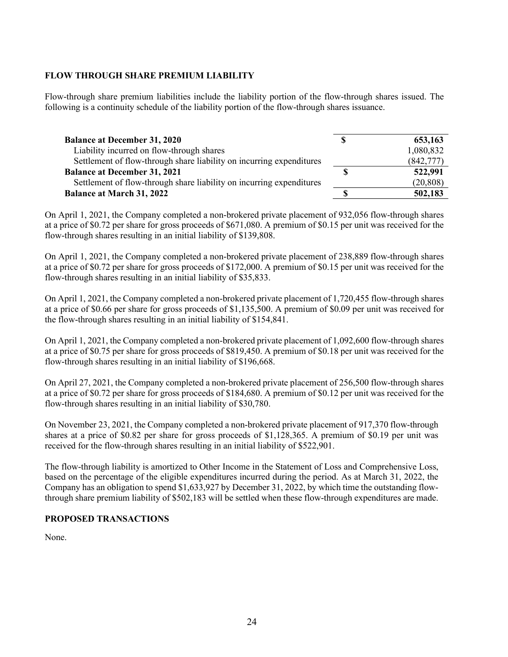# FLOW THROUGH SHARE PREMIUM LIABILITY

Flow-through share premium liabilities include the liability portion of the flow-through shares issued. The following is a continuity schedule of the liability portion of the flow-through shares issuance.

| <b>Balance at December 31, 2020</b>                                  | S | 653,163   |
|----------------------------------------------------------------------|---|-----------|
| Liability incurred on flow-through shares                            |   | 1,080,832 |
| Settlement of flow-through share liability on incurring expenditures |   | (842,777) |
| <b>Balance at December 31, 2021</b>                                  |   | 522,991   |
| Settlement of flow-through share liability on incurring expenditures |   | (20, 808) |
| <b>Balance at March 31, 2022</b>                                     |   | 502,183   |

On April 1, 2021, the Company completed a non-brokered private placement of 932,056 flow-through shares at a price of \$0.72 per share for gross proceeds of \$671,080. A premium of \$0.15 per unit was received for the flow-through shares resulting in an initial liability of \$139,808.

On April 1, 2021, the Company completed a non-brokered private placement of 238,889 flow-through shares at a price of \$0.72 per share for gross proceeds of \$172,000. A premium of \$0.15 per unit was received for the flow-through shares resulting in an initial liability of \$35,833.

On April 1, 2021, the Company completed a non‐brokered private placement of 1,720,455 flow-through shares at a price of \$0.66 per share for gross proceeds of \$1,135,500. A premium of \$0.09 per unit was received for the flow-through shares resulting in an initial liability of \$154,841.

On April 1, 2021, the Company completed a non‐brokered private placement of 1,092,600 flow-through shares at a price of \$0.75 per share for gross proceeds of \$819,450. A premium of \$0.18 per unit was received for the flow-through shares resulting in an initial liability of \$196,668.

On April 27, 2021, the Company completed a non‐brokered private placement of 256,500 flow-through shares at a price of \$0.72 per share for gross proceeds of \$184,680. A premium of \$0.12 per unit was received for the flow-through shares resulting in an initial liability of \$30,780.

On November 23, 2021, the Company completed a non-brokered private placement of 917,370 flow-through shares at a price of \$0.82 per share for gross proceeds of \$1,128,365. A premium of \$0.19 per unit was received for the flow-through shares resulting in an initial liability of \$522,901.

The flow-through liability is amortized to Other Income in the Statement of Loss and Comprehensive Loss, based on the percentage of the eligible expenditures incurred during the period. As at March 31, 2022, the Company has an obligation to spend \$1,633,927 by December 31, 2022, by which time the outstanding flowthrough share premium liability of \$502,183 will be settled when these flow-through expenditures are made.

# PROPOSED TRANSACTIONS

None.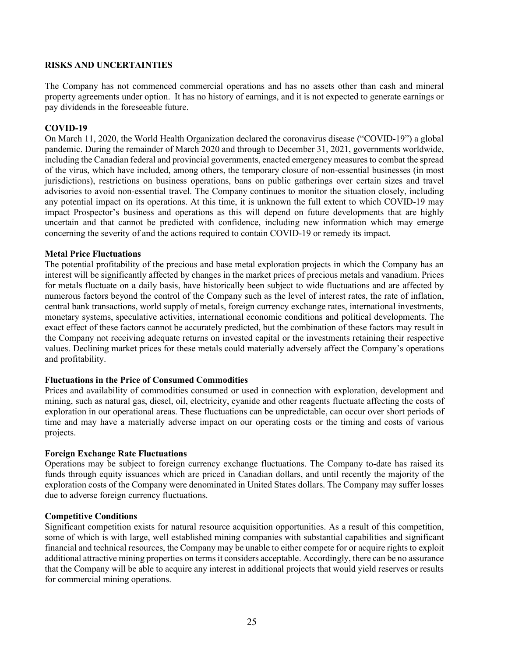#### RISKS AND UNCERTAINTIES

The Company has not commenced commercial operations and has no assets other than cash and mineral property agreements under option. It has no history of earnings, and it is not expected to generate earnings or pay dividends in the foreseeable future.

### COVID-19

On March 11, 2020, the World Health Organization declared the coronavirus disease ("COVID-19") a global pandemic. During the remainder of March 2020 and through to December 31, 2021, governments worldwide, including the Canadian federal and provincial governments, enacted emergency measures to combat the spread of the virus, which have included, among others, the temporary closure of non-essential businesses (in most jurisdictions), restrictions on business operations, bans on public gatherings over certain sizes and travel advisories to avoid non-essential travel. The Company continues to monitor the situation closely, including any potential impact on its operations. At this time, it is unknown the full extent to which COVID-19 may impact Prospector's business and operations as this will depend on future developments that are highly uncertain and that cannot be predicted with confidence, including new information which may emerge concerning the severity of and the actions required to contain COVID-19 or remedy its impact.

#### Metal Price Fluctuations

The potential profitability of the precious and base metal exploration projects in which the Company has an interest will be significantly affected by changes in the market prices of precious metals and vanadium. Prices for metals fluctuate on a daily basis, have historically been subject to wide fluctuations and are affected by numerous factors beyond the control of the Company such as the level of interest rates, the rate of inflation, central bank transactions, world supply of metals, foreign currency exchange rates, international investments, monetary systems, speculative activities, international economic conditions and political developments. The exact effect of these factors cannot be accurately predicted, but the combination of these factors may result in the Company not receiving adequate returns on invested capital or the investments retaining their respective values. Declining market prices for these metals could materially adversely affect the Company's operations and profitability.

#### Fluctuations in the Price of Consumed Commodities

Prices and availability of commodities consumed or used in connection with exploration, development and mining, such as natural gas, diesel, oil, electricity, cyanide and other reagents fluctuate affecting the costs of exploration in our operational areas. These fluctuations can be unpredictable, can occur over short periods of time and may have a materially adverse impact on our operating costs or the timing and costs of various projects.

## Foreign Exchange Rate Fluctuations

Operations may be subject to foreign currency exchange fluctuations. The Company to-date has raised its funds through equity issuances which are priced in Canadian dollars, and until recently the majority of the exploration costs of the Company were denominated in United States dollars. The Company may suffer losses due to adverse foreign currency fluctuations.

#### Competitive Conditions

Significant competition exists for natural resource acquisition opportunities. As a result of this competition, some of which is with large, well established mining companies with substantial capabilities and significant financial and technical resources, the Company may be unable to either compete for or acquire rights to exploit additional attractive mining properties on terms it considers acceptable. Accordingly, there can be no assurance that the Company will be able to acquire any interest in additional projects that would yield reserves or results for commercial mining operations.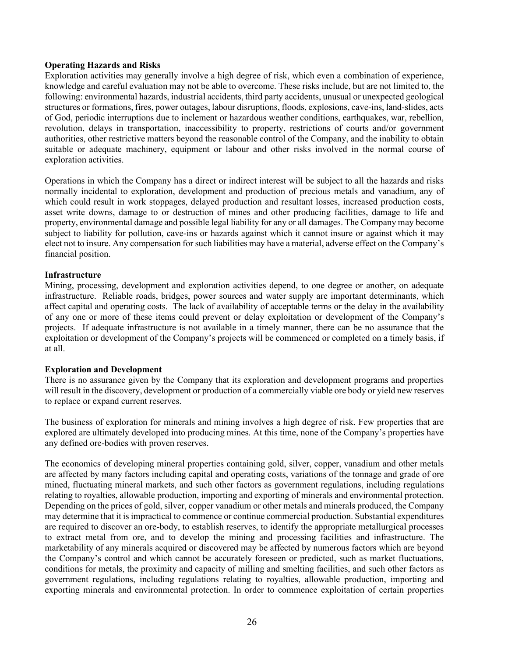#### Operating Hazards and Risks

Exploration activities may generally involve a high degree of risk, which even a combination of experience, knowledge and careful evaluation may not be able to overcome. These risks include, but are not limited to, the following: environmental hazards, industrial accidents, third party accidents, unusual or unexpected geological structures or formations, fires, power outages, labour disruptions, floods, explosions, cave-ins, land-slides, acts of God, periodic interruptions due to inclement or hazardous weather conditions, earthquakes, war, rebellion, revolution, delays in transportation, inaccessibility to property, restrictions of courts and/or government authorities, other restrictive matters beyond the reasonable control of the Company, and the inability to obtain suitable or adequate machinery, equipment or labour and other risks involved in the normal course of exploration activities.

Operations in which the Company has a direct or indirect interest will be subject to all the hazards and risks normally incidental to exploration, development and production of precious metals and vanadium, any of which could result in work stoppages, delayed production and resultant losses, increased production costs, asset write downs, damage to or destruction of mines and other producing facilities, damage to life and property, environmental damage and possible legal liability for any or all damages. The Company may become subject to liability for pollution, cave-ins or hazards against which it cannot insure or against which it may elect not to insure. Any compensation for such liabilities may have a material, adverse effect on the Company's financial position.

## Infrastructure

Mining, processing, development and exploration activities depend, to one degree or another, on adequate infrastructure. Reliable roads, bridges, power sources and water supply are important determinants, which affect capital and operating costs. The lack of availability of acceptable terms or the delay in the availability of any one or more of these items could prevent or delay exploitation or development of the Company's projects. If adequate infrastructure is not available in a timely manner, there can be no assurance that the exploitation or development of the Company's projects will be commenced or completed on a timely basis, if at all.

#### Exploration and Development

There is no assurance given by the Company that its exploration and development programs and properties will result in the discovery, development or production of a commercially viable ore body or yield new reserves to replace or expand current reserves.

The business of exploration for minerals and mining involves a high degree of risk. Few properties that are explored are ultimately developed into producing mines. At this time, none of the Company's properties have any defined ore-bodies with proven reserves.

The economics of developing mineral properties containing gold, silver, copper, vanadium and other metals are affected by many factors including capital and operating costs, variations of the tonnage and grade of ore mined, fluctuating mineral markets, and such other factors as government regulations, including regulations relating to royalties, allowable production, importing and exporting of minerals and environmental protection. Depending on the prices of gold, silver, copper vanadium or other metals and minerals produced, the Company may determine that it is impractical to commence or continue commercial production. Substantial expenditures are required to discover an ore-body, to establish reserves, to identify the appropriate metallurgical processes to extract metal from ore, and to develop the mining and processing facilities and infrastructure. The marketability of any minerals acquired or discovered may be affected by numerous factors which are beyond the Company's control and which cannot be accurately foreseen or predicted, such as market fluctuations, conditions for metals, the proximity and capacity of milling and smelting facilities, and such other factors as government regulations, including regulations relating to royalties, allowable production, importing and exporting minerals and environmental protection. In order to commence exploitation of certain properties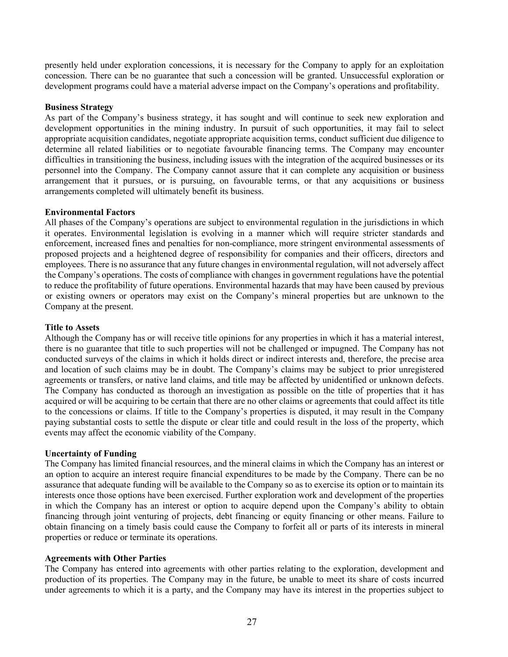presently held under exploration concessions, it is necessary for the Company to apply for an exploitation concession. There can be no guarantee that such a concession will be granted. Unsuccessful exploration or development programs could have a material adverse impact on the Company's operations and profitability.

### Business Strategy

As part of the Company's business strategy, it has sought and will continue to seek new exploration and development opportunities in the mining industry. In pursuit of such opportunities, it may fail to select appropriate acquisition candidates, negotiate appropriate acquisition terms, conduct sufficient due diligence to determine all related liabilities or to negotiate favourable financing terms. The Company may encounter difficulties in transitioning the business, including issues with the integration of the acquired businesses or its personnel into the Company. The Company cannot assure that it can complete any acquisition or business arrangement that it pursues, or is pursuing, on favourable terms, or that any acquisitions or business arrangements completed will ultimately benefit its business.

#### Environmental Factors

All phases of the Company's operations are subject to environmental regulation in the jurisdictions in which it operates. Environmental legislation is evolving in a manner which will require stricter standards and enforcement, increased fines and penalties for non-compliance, more stringent environmental assessments of proposed projects and a heightened degree of responsibility for companies and their officers, directors and employees. There is no assurance that any future changes in environmental regulation, will not adversely affect the Company's operations. The costs of compliance with changes in government regulations have the potential to reduce the profitability of future operations. Environmental hazards that may have been caused by previous or existing owners or operators may exist on the Company's mineral properties but are unknown to the Company at the present.

#### Title to Assets

Although the Company has or will receive title opinions for any properties in which it has a material interest, there is no guarantee that title to such properties will not be challenged or impugned. The Company has not conducted surveys of the claims in which it holds direct or indirect interests and, therefore, the precise area and location of such claims may be in doubt. The Company's claims may be subject to prior unregistered agreements or transfers, or native land claims, and title may be affected by unidentified or unknown defects. The Company has conducted as thorough an investigation as possible on the title of properties that it has acquired or will be acquiring to be certain that there are no other claims or agreements that could affect its title to the concessions or claims. If title to the Company's properties is disputed, it may result in the Company paying substantial costs to settle the dispute or clear title and could result in the loss of the property, which events may affect the economic viability of the Company.

#### Uncertainty of Funding

The Company has limited financial resources, and the mineral claims in which the Company has an interest or an option to acquire an interest require financial expenditures to be made by the Company. There can be no assurance that adequate funding will be available to the Company so as to exercise its option or to maintain its interests once those options have been exercised. Further exploration work and development of the properties in which the Company has an interest or option to acquire depend upon the Company's ability to obtain financing through joint venturing of projects, debt financing or equity financing or other means. Failure to obtain financing on a timely basis could cause the Company to forfeit all or parts of its interests in mineral properties or reduce or terminate its operations.

#### Agreements with Other Parties

The Company has entered into agreements with other parties relating to the exploration, development and production of its properties. The Company may in the future, be unable to meet its share of costs incurred under agreements to which it is a party, and the Company may have its interest in the properties subject to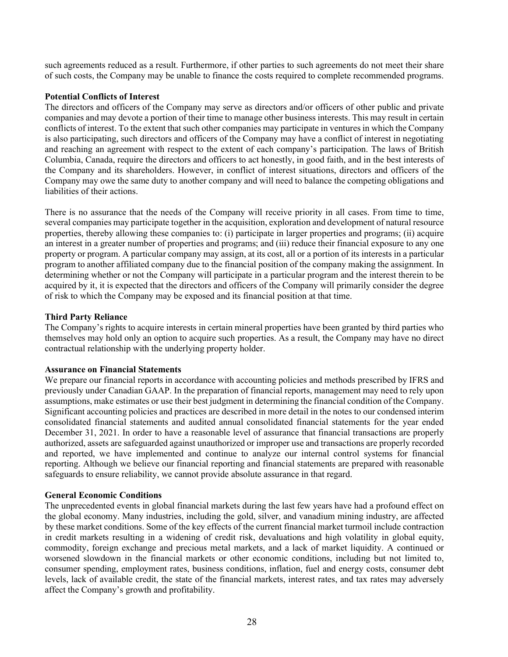such agreements reduced as a result. Furthermore, if other parties to such agreements do not meet their share of such costs, the Company may be unable to finance the costs required to complete recommended programs.

## Potential Conflicts of Interest

The directors and officers of the Company may serve as directors and/or officers of other public and private companies and may devote a portion of their time to manage other business interests. This may result in certain conflicts of interest. To the extent that such other companies may participate in ventures in which the Company is also participating, such directors and officers of the Company may have a conflict of interest in negotiating and reaching an agreement with respect to the extent of each company's participation. The laws of British Columbia, Canada, require the directors and officers to act honestly, in good faith, and in the best interests of the Company and its shareholders. However, in conflict of interest situations, directors and officers of the Company may owe the same duty to another company and will need to balance the competing obligations and liabilities of their actions.

There is no assurance that the needs of the Company will receive priority in all cases. From time to time, several companies may participate together in the acquisition, exploration and development of natural resource properties, thereby allowing these companies to: (i) participate in larger properties and programs; (ii) acquire an interest in a greater number of properties and programs; and (iii) reduce their financial exposure to any one property or program. A particular company may assign, at its cost, all or a portion of its interests in a particular program to another affiliated company due to the financial position of the company making the assignment. In determining whether or not the Company will participate in a particular program and the interest therein to be acquired by it, it is expected that the directors and officers of the Company will primarily consider the degree of risk to which the Company may be exposed and its financial position at that time.

## Third Party Reliance

The Company's rights to acquire interests in certain mineral properties have been granted by third parties who themselves may hold only an option to acquire such properties. As a result, the Company may have no direct contractual relationship with the underlying property holder.

## Assurance on Financial Statements

We prepare our financial reports in accordance with accounting policies and methods prescribed by IFRS and previously under Canadian GAAP. In the preparation of financial reports, management may need to rely upon assumptions, make estimates or use their best judgment in determining the financial condition of the Company. Significant accounting policies and practices are described in more detail in the notes to our condensed interim consolidated financial statements and audited annual consolidated financial statements for the year ended December 31, 2021. In order to have a reasonable level of assurance that financial transactions are properly authorized, assets are safeguarded against unauthorized or improper use and transactions are properly recorded and reported, we have implemented and continue to analyze our internal control systems for financial reporting. Although we believe our financial reporting and financial statements are prepared with reasonable safeguards to ensure reliability, we cannot provide absolute assurance in that regard.

## General Economic Conditions

The unprecedented events in global financial markets during the last few years have had a profound effect on the global economy. Many industries, including the gold, silver, and vanadium mining industry, are affected by these market conditions. Some of the key effects of the current financial market turmoil include contraction in credit markets resulting in a widening of credit risk, devaluations and high volatility in global equity, commodity, foreign exchange and precious metal markets, and a lack of market liquidity. A continued or worsened slowdown in the financial markets or other economic conditions, including but not limited to, consumer spending, employment rates, business conditions, inflation, fuel and energy costs, consumer debt levels, lack of available credit, the state of the financial markets, interest rates, and tax rates may adversely affect the Company's growth and profitability.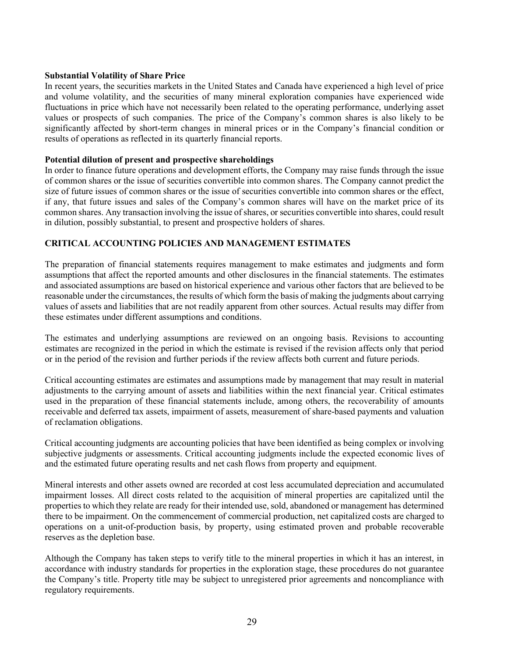#### Substantial Volatility of Share Price

In recent years, the securities markets in the United States and Canada have experienced a high level of price and volume volatility, and the securities of many mineral exploration companies have experienced wide fluctuations in price which have not necessarily been related to the operating performance, underlying asset values or prospects of such companies. The price of the Company's common shares is also likely to be significantly affected by short-term changes in mineral prices or in the Company's financial condition or results of operations as reflected in its quarterly financial reports.

#### Potential dilution of present and prospective shareholdings

In order to finance future operations and development efforts, the Company may raise funds through the issue of common shares or the issue of securities convertible into common shares. The Company cannot predict the size of future issues of common shares or the issue of securities convertible into common shares or the effect, if any, that future issues and sales of the Company's common shares will have on the market price of its common shares. Any transaction involving the issue of shares, or securities convertible into shares, could result in dilution, possibly substantial, to present and prospective holders of shares.

## CRITICAL ACCOUNTING POLICIES AND MANAGEMENT ESTIMATES

The preparation of financial statements requires management to make estimates and judgments and form assumptions that affect the reported amounts and other disclosures in the financial statements. The estimates and associated assumptions are based on historical experience and various other factors that are believed to be reasonable under the circumstances, the results of which form the basis of making the judgments about carrying values of assets and liabilities that are not readily apparent from other sources. Actual results may differ from these estimates under different assumptions and conditions.

The estimates and underlying assumptions are reviewed on an ongoing basis. Revisions to accounting estimates are recognized in the period in which the estimate is revised if the revision affects only that period or in the period of the revision and further periods if the review affects both current and future periods.

Critical accounting estimates are estimates and assumptions made by management that may result in material adjustments to the carrying amount of assets and liabilities within the next financial year. Critical estimates used in the preparation of these financial statements include, among others, the recoverability of amounts receivable and deferred tax assets, impairment of assets, measurement of share-based payments and valuation of reclamation obligations.

Critical accounting judgments are accounting policies that have been identified as being complex or involving subjective judgments or assessments. Critical accounting judgments include the expected economic lives of and the estimated future operating results and net cash flows from property and equipment.

Mineral interests and other assets owned are recorded at cost less accumulated depreciation and accumulated impairment losses. All direct costs related to the acquisition of mineral properties are capitalized until the properties to which they relate are ready for their intended use, sold, abandoned or management has determined there to be impairment. On the commencement of commercial production, net capitalized costs are charged to operations on a unit-of-production basis, by property, using estimated proven and probable recoverable reserves as the depletion base.

Although the Company has taken steps to verify title to the mineral properties in which it has an interest, in accordance with industry standards for properties in the exploration stage, these procedures do not guarantee the Company's title. Property title may be subject to unregistered prior agreements and noncompliance with regulatory requirements.